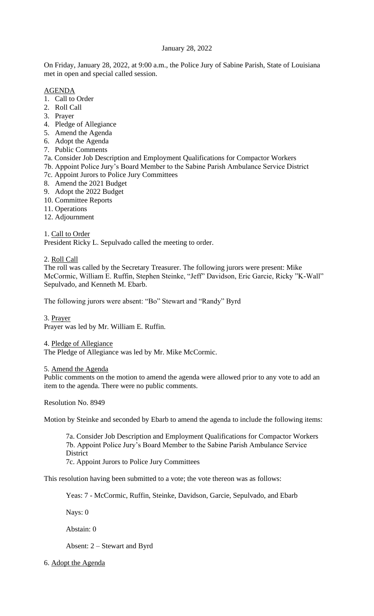# January 28, 2022

On Friday, January 28, 2022, at 9:00 a.m., the Police Jury of Sabine Parish, State of Louisiana met in open and special called session.

# AGENDA

- 1. Call to Order
- 2. Roll Call
- 3. Prayer
- 4. Pledge of Allegiance
- 5. Amend the Agenda
- 6. Adopt the Agenda
- 7. Public Comments
- 7a. Consider Job Description and Employment Qualifications for Compactor Workers
- 7b. Appoint Police Jury's Board Member to the Sabine Parish Ambulance Service District
- 7c. Appoint Jurors to Police Jury Committees
- 8. Amend the 2021 Budget
- 9. Adopt the 2022 Budget
- 10. Committee Reports
- 11. Operations
- 12. Adjournment

1. Call to Order President Ricky L. Sepulvado called the meeting to order.

2. Roll Call

The roll was called by the Secretary Treasurer. The following jurors were present: Mike McCormic, William E. Ruffin, Stephen Steinke, "Jeff" Davidson, Eric Garcie, Ricky "K-Wall" Sepulvado, and Kenneth M. Ebarb.

The following jurors were absent: "Bo" Stewart and "Randy" Byrd

3. Prayer Prayer was led by Mr. William E. Ruffin.

4. Pledge of Allegiance

The Pledge of Allegiance was led by Mr. Mike McCormic.

5. Amend the Agenda

Public comments on the motion to amend the agenda were allowed prior to any vote to add an item to the agenda. There were no public comments.

Resolution No. 8949

Motion by Steinke and seconded by Ebarb to amend the agenda to include the following items:

7a. Consider Job Description and Employment Qualifications for Compactor Workers 7b. Appoint Police Jury's Board Member to the Sabine Parish Ambulance Service District

7c. Appoint Jurors to Police Jury Committees

This resolution having been submitted to a vote; the vote thereon was as follows:

Yeas: 7 - McCormic, Ruffin, Steinke, Davidson, Garcie, Sepulvado, and Ebarb

Nays: 0

Abstain: 0

Absent: 2 – Stewart and Byrd

6. Adopt the Agenda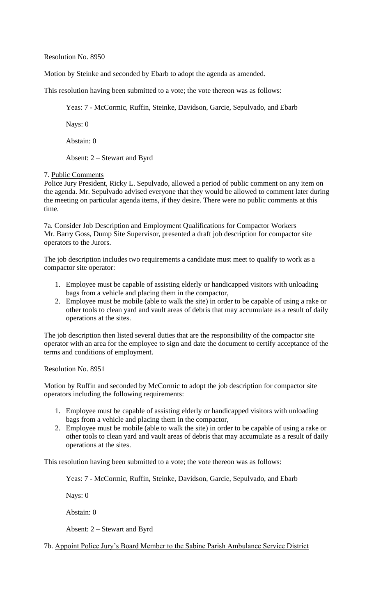Resolution No. 8950

Motion by Steinke and seconded by Ebarb to adopt the agenda as amended.

This resolution having been submitted to a vote; the vote thereon was as follows:

Yeas: 7 - McCormic, Ruffin, Steinke, Davidson, Garcie, Sepulvado, and Ebarb

Nays: 0

Abstain: 0

Absent: 2 – Stewart and Byrd

### 7. Public Comments

Police Jury President, Ricky L. Sepulvado, allowed a period of public comment on any item on the agenda. Mr. Sepulvado advised everyone that they would be allowed to comment later during the meeting on particular agenda items, if they desire. There were no public comments at this time.

7a. Consider Job Description and Employment Qualifications for Compactor Workers Mr. Barry Goss, Dump Site Supervisor, presented a draft job description for compactor site operators to the Jurors.

The job description includes two requirements a candidate must meet to qualify to work as a compactor site operator:

- 1. Employee must be capable of assisting elderly or handicapped visitors with unloading bags from a vehicle and placing them in the compactor,
- 2. Employee must be mobile (able to walk the site) in order to be capable of using a rake or other tools to clean yard and vault areas of debris that may accumulate as a result of daily operations at the sites.

The job description then listed several duties that are the responsibility of the compactor site operator with an area for the employee to sign and date the document to certify acceptance of the terms and conditions of employment.

Resolution No. 8951

Motion by Ruffin and seconded by McCormic to adopt the job description for compactor site operators including the following requirements:

- 1. Employee must be capable of assisting elderly or handicapped visitors with unloading bags from a vehicle and placing them in the compactor,
- 2. Employee must be mobile (able to walk the site) in order to be capable of using a rake or other tools to clean yard and vault areas of debris that may accumulate as a result of daily operations at the sites.

This resolution having been submitted to a vote; the vote thereon was as follows:

Yeas: 7 - McCormic, Ruffin, Steinke, Davidson, Garcie, Sepulvado, and Ebarb

Nays: 0

Abstain: 0

Absent: 2 – Stewart and Byrd

7b. Appoint Police Jury's Board Member to the Sabine Parish Ambulance Service District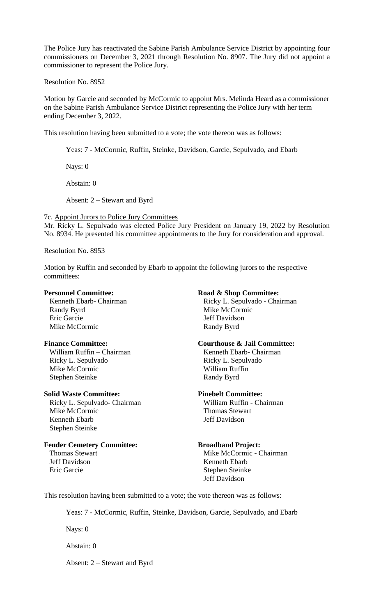The Police Jury has reactivated the Sabine Parish Ambulance Service District by appointing four commissioners on December 3, 2021 through Resolution No. 8907. The Jury did not appoint a commissioner to represent the Police Jury.

Resolution No. 8952

Motion by Garcie and seconded by McCormic to appoint Mrs. Melinda Heard as a commissioner on the Sabine Parish Ambulance Service District representing the Police Jury with her term ending December 3, 2022.

This resolution having been submitted to a vote; the vote thereon was as follows:

Yeas: 7 - McCormic, Ruffin, Steinke, Davidson, Garcie, Sepulvado, and Ebarb

Nays: 0

Abstain: 0

Absent: 2 – Stewart and Byrd

7c. Appoint Jurors to Police Jury Committees Mr. Ricky L. Sepulvado was elected Police Jury President on January 19, 2022 by Resolution No. 8934. He presented his committee appointments to the Jury for consideration and approval.

Resolution No. 8953

Motion by Ruffin and seconded by Ebarb to appoint the following jurors to the respective committees:

Randy Byrd Mike McCormic Eric Garcie Jeff Davidson Mike McCormic Randy Byrd

William Ruffin – Chairman Kenneth Ebarb- Chairman Ricky L. Sepulvado **Ricky L. Sepulvado** Mike McCormic William Ruffin Stephen Steinke Randy Byrd

## **Solid Waste Committee: Pinebelt Committee:**

 Ricky L. Sepulvado- Chairman William Ruffin - Chairman Mike McCormic Thomas Stewart Kenneth Ebarb **Jeff Davidson** Stephen Steinke

# **Fender Cemetery Committee: Broadband Project:**

## **Personnel Committee: Road & Shop Committee:**

Kenneth Ebarb- Chairman Ricky L. Sepulvado - Chairman

### **Finance Committee: Courthouse & Jail Committee:**

Thomas Stewart Mike McCormic - Chairman Jeff Davidson Kenneth Ebarb Eric Garcie Stephen Steinke Jeff Davidson

This resolution having been submitted to a vote; the vote thereon was as follows:

Yeas: 7 - McCormic, Ruffin, Steinke, Davidson, Garcie, Sepulvado, and Ebarb

Nays: 0

Abstain: 0

Absent: 2 – Stewart and Byrd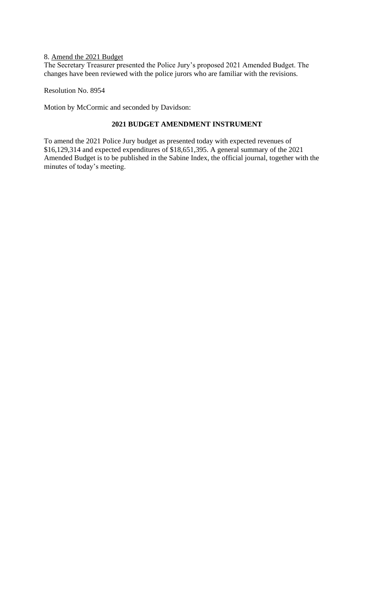## 8. Amend the 2021 Budget

The Secretary Treasurer presented the Police Jury's proposed 2021 Amended Budget. The changes have been reviewed with the police jurors who are familiar with the revisions.

Resolution No. 8954

Motion by McCormic and seconded by Davidson:

## **2021 BUDGET AMENDMENT INSTRUMENT**

To amend the 2021 Police Jury budget as presented today with expected revenues of \$16,129,314 and expected expenditures of \$18,651,395. A general summary of the 2021 Amended Budget is to be published in the Sabine Index, the official journal, together with the minutes of today's meeting.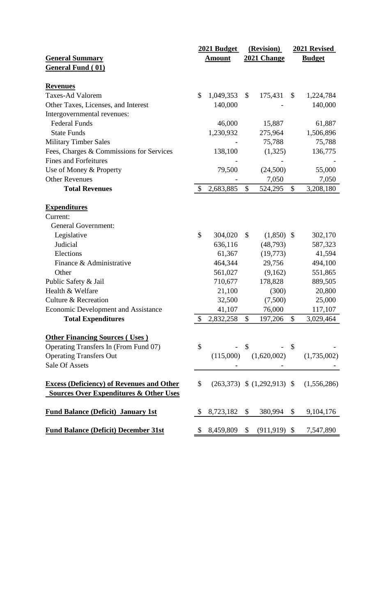|                                                   | 2021 Budget   |               | (Revision)   |                              | 2021 Revised  |                                               |
|---------------------------------------------------|---------------|---------------|--------------|------------------------------|---------------|-----------------------------------------------|
| <b>General Summary</b>                            |               | <b>Amount</b> | 2021 Change  |                              | <b>Budget</b> |                                               |
| <b>General Fund (01)</b>                          |               |               |              |                              |               |                                               |
|                                                   |               |               |              |                              |               |                                               |
| <b>Revenues</b>                                   |               |               |              |                              |               |                                               |
| <b>Taxes-Ad Valorem</b>                           | \$            | 1,049,353     | $\mathbb{S}$ | 175,431                      | $\mathbb{S}$  | 1,224,784                                     |
| Other Taxes, Licenses, and Interest               |               | 140,000       |              |                              |               | 140,000                                       |
| Intergovernmental revenues:                       |               |               |              |                              |               |                                               |
| <b>Federal Funds</b>                              |               | 46,000        |              | 15,887                       |               | 61,887                                        |
| <b>State Funds</b>                                |               | 1,230,932     |              | 275,964                      |               | 1,506,896                                     |
| <b>Military Timber Sales</b>                      |               |               |              | 75,788                       |               | 75,788                                        |
| Fees, Charges & Commissions for Services          |               | 138,100       |              | (1,325)                      |               | 136,775                                       |
| <b>Fines and Forfeitures</b>                      |               |               |              |                              |               |                                               |
| Use of Money & Property                           |               | 79,500        |              | (24,500)                     |               | 55,000                                        |
| <b>Other Revenues</b>                             |               |               |              | 7,050                        |               | 7,050                                         |
| <b>Total Revenues</b>                             | $\mathcal{S}$ | 2,683,885     | \$           | 524,295                      | \$            | 3,208,180                                     |
|                                                   |               |               |              |                              |               |                                               |
| <b>Expenditures</b>                               |               |               |              |                              |               |                                               |
| Current:                                          |               |               |              |                              |               |                                               |
| <b>General Government:</b>                        |               |               |              |                              |               |                                               |
| Legislative                                       | \$            | 304,020       | \$           | $(1,850)$ \$                 |               | 302,170                                       |
| Judicial                                          |               | 636,116       |              | (48,793)                     |               | 587,323                                       |
| Elections                                         |               | 61,367        |              | (19,773)                     |               | 41,594                                        |
| Finance & Administrative                          |               | 464,344       |              | 29,756                       |               | 494,100                                       |
| Other                                             |               | 561,027       |              | (9,162)                      |               | 551,865                                       |
| Public Safety & Jail                              |               | 710,677       |              | 178,828                      |               | 889,505                                       |
| Health & Welfare                                  |               | 21,100        |              | (300)                        |               | 20,800                                        |
| <b>Culture &amp; Recreation</b>                   |               | 32,500        |              | (7,500)                      |               | 25,000                                        |
| <b>Economic Development and Assistance</b>        |               | 41,107        |              | 76,000                       |               | 117,107                                       |
| <b>Total Expenditures</b>                         | \$            |               |              | 2,832,258 \$ 197,206 \$      |               | 3,029,464                                     |
|                                                   |               |               |              |                              |               |                                               |
| <b>Other Financing Sources (Uses)</b>             |               |               |              |                              |               |                                               |
| Operating Transfers In (From Fund 07)             | \$            |               | $-$ \$       |                              |               |                                               |
| <b>Operating Transfers Out</b>                    |               |               |              | $(115,000)$ $(1,620,002)$    |               | (1,735,002)                                   |
| Sale Of Assets                                    |               |               |              |                              |               |                                               |
|                                                   |               |               |              |                              |               |                                               |
| <b>Excess (Deficiency) of Revenues and Other</b>  | \$            |               |              |                              |               | $(263,373)$ \$ $(1,292,913)$ \$ $(1,556,286)$ |
| <b>Sources Over Expenditures &amp; Other Uses</b> |               |               |              |                              |               |                                               |
|                                                   |               |               |              |                              |               |                                               |
| <b>Fund Balance (Deficit) January 1st</b>         |               | 8,723,182 \$  |              | 380,994 \$                   |               | 9,104,176                                     |
| <b>Fund Balance (Deficit) December 31st</b>       |               |               |              | $$8,459,809 \$ (911,919) \$$ |               | 7,547,890                                     |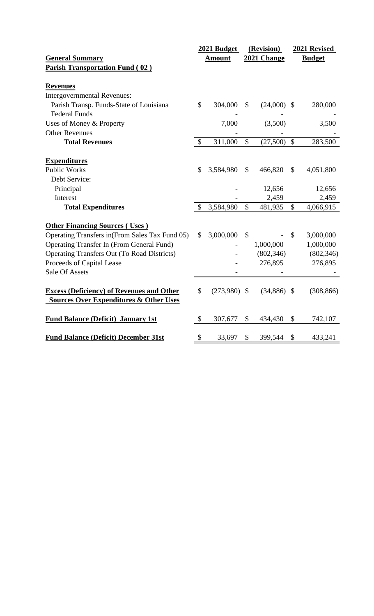|                                                                                                       | 2021 Budget               |               | (Revision)                |               |               | 2021 Revised |  |
|-------------------------------------------------------------------------------------------------------|---------------------------|---------------|---------------------------|---------------|---------------|--------------|--|
| <b>General Summary</b>                                                                                |                           | <b>Amount</b> | 2021 Change               |               | <b>Budget</b> |              |  |
| <b>Parish Transportation Fund (02)</b>                                                                |                           |               |                           |               |               |              |  |
|                                                                                                       |                           |               |                           |               |               |              |  |
| <b>Revenues</b>                                                                                       |                           |               |                           |               |               |              |  |
| <b>Intergovernmental Revenues:</b>                                                                    |                           |               |                           |               |               |              |  |
| Parish Transp. Funds-State of Louisiana                                                               | \$                        | 304,000       | $\mathcal{S}$             | (24,000)      | $\mathbb{S}$  | 280,000      |  |
| <b>Federal Funds</b>                                                                                  |                           |               |                           |               |               |              |  |
| Uses of Money & Property                                                                              |                           | 7,000         |                           | (3,500)       |               | 3,500        |  |
| <b>Other Revenues</b>                                                                                 |                           |               |                           |               |               |              |  |
| <b>Total Revenues</b>                                                                                 | $\mathcal{S}$             | 311,000       | $\mathbb{S}$              | (27,500)      | $\mathcal{S}$ | 283,500      |  |
| <b>Expenditures</b>                                                                                   |                           |               |                           |               |               |              |  |
| <b>Public Works</b>                                                                                   | \$                        | 3,584,980     | \$                        | 466,820       | \$            | 4,051,800    |  |
| Debt Service:                                                                                         |                           |               |                           |               |               |              |  |
| Principal                                                                                             |                           |               |                           | 12,656        |               | 12,656       |  |
| Interest                                                                                              |                           |               |                           | 2,459         |               | 2,459        |  |
| <b>Total Expenditures</b>                                                                             | \$                        | 3,584,980     | $\mathbb{S}$              | 481,935       | $\mathcal{S}$ | 4,066,915    |  |
| <b>Other Financing Sources (Uses)</b>                                                                 |                           |               |                           |               |               |              |  |
| Operating Transfers in (From Sales Tax Fund 05)                                                       | $\boldsymbol{\mathsf{S}}$ | 3,000,000     | $\boldsymbol{\mathsf{S}}$ |               | \$            | 3,000,000    |  |
| <b>Operating Transfer In (From General Fund)</b>                                                      |                           |               |                           | 1,000,000     |               | 1,000,000    |  |
| <b>Operating Transfers Out (To Road Districts)</b>                                                    |                           |               |                           | (802, 346)    |               | (802, 346)   |  |
| Proceeds of Capital Lease                                                                             |                           |               |                           | 276,895       |               | 276,895      |  |
| <b>Sale Of Assets</b>                                                                                 |                           |               |                           |               |               |              |  |
| <b>Excess (Deficiency) of Revenues and Other</b><br><b>Sources Over Expenditures &amp; Other Uses</b> | \$                        | (273,980)     | $\boldsymbol{\mathsf{S}}$ | $(34,886)$ \$ |               | (308, 866)   |  |
| <b>Fund Balance (Deficit) January 1st</b>                                                             | $\boldsymbol{\mathsf{S}}$ | 307,677       | \$                        | 434,430       | \$            | 742,107      |  |
| <b>Fund Balance (Deficit) December 31st</b>                                                           | \$                        | 33,697        | \$                        | 399,544       | \$            | 433,241      |  |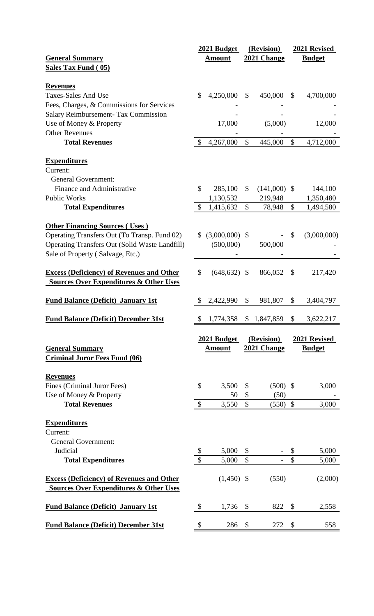|                                                       |                           | 2021 Budget      |                           | (Revision)     |               | 2021 Revised  |
|-------------------------------------------------------|---------------------------|------------------|---------------------------|----------------|---------------|---------------|
| <b>General Summary</b>                                |                           | <b>Amount</b>    |                           | 2021 Change    |               | <b>Budget</b> |
| <b>Sales Tax Fund (05)</b>                            |                           |                  |                           |                |               |               |
|                                                       |                           |                  |                           |                |               |               |
| <b>Revenues</b>                                       |                           |                  |                           |                |               |               |
| <b>Taxes-Sales And Use</b>                            | \$                        | 4,250,000        | $\mathbb{S}$              | 450,000        | \$            | 4,700,000     |
| Fees, Charges, & Commissions for Services             |                           |                  |                           |                |               |               |
| <b>Salary Reimbursement- Tax Commission</b>           |                           |                  |                           |                |               |               |
| Use of Money & Property                               |                           | 17,000           |                           | (5,000)        |               | 12,000        |
| <b>Other Revenues</b>                                 |                           |                  |                           |                |               |               |
| <b>Total Revenues</b>                                 | $\mathcal{S}$             | 4,267,000        | \$                        | 445,000        | $\mathcal{S}$ | 4,712,000     |
| <b>Expenditures</b>                                   |                           |                  |                           |                |               |               |
| Current:                                              |                           |                  |                           |                |               |               |
| <b>General Government:</b>                            |                           |                  |                           |                |               |               |
| Finance and Administrative                            | \$                        | 285,100          | \$                        |                |               |               |
|                                                       |                           |                  |                           | $(141,000)$ \$ |               | 144,100       |
| <b>Public Works</b>                                   |                           | 1,130,532        |                           | 219,948        |               | 1,350,480     |
| <b>Total Expenditures</b>                             | $\mathbb{S}$              | 1,415,632        | \$                        | 78,948         | \$            | 1,494,580     |
| <b>Other Financing Sources (Uses)</b>                 |                           |                  |                           |                |               |               |
| Operating Transfers Out (To Transp. Fund 02)          | S.                        | $(3,000,000)$ \$ |                           |                | \$            | (3,000,000)   |
| <b>Operating Transfers Out (Solid Waste Landfill)</b> |                           | (500,000)        |                           | 500,000        |               |               |
|                                                       |                           |                  |                           |                |               |               |
| Sale of Property (Salvage, Etc.)                      |                           |                  |                           |                |               |               |
| <b>Excess (Deficiency) of Revenues and Other</b>      | \$                        | (648, 632)       | $\mathcal{S}$             | 866,052        | $\mathcal{S}$ | 217,420       |
| <b>Sources Over Expenditures &amp; Other Uses</b>     |                           |                  |                           |                |               |               |
|                                                       |                           |                  |                           |                |               |               |
| <b>Fund Balance (Deficit) January 1st</b>             |                           | 2,422,990        | \$                        | 981,807        | \$            | 3,404,797     |
|                                                       |                           |                  |                           |                |               |               |
| <b>Fund Balance (Deficit) December 31st</b>           |                           | \$1,774,358      |                           | \$1,847,859    | \$            | 3,622,217     |
|                                                       |                           | 2021 Budget      |                           | (Revision)     | 2021 Revised  |               |
| <b>General Summary</b>                                |                           | <b>Amount</b>    |                           | 2021 Change    |               | <b>Budget</b> |
| <b>Criminal Juror Fees Fund (06)</b>                  |                           |                  |                           |                |               |               |
|                                                       |                           |                  |                           |                |               |               |
| <b>Revenues</b>                                       |                           |                  |                           |                |               |               |
|                                                       |                           |                  |                           |                |               |               |
|                                                       |                           |                  | $\mathcal{S}$             |                |               |               |
| Fines (Criminal Juror Fees)                           | \$                        | 3,500            |                           | $(500)$ \$     |               | 3,000         |
| Use of Money & Property                               |                           | 50               | $\boldsymbol{\mathsf{S}}$ | (50)           |               |               |
| <b>Total Revenues</b>                                 | $\boldsymbol{\mathsf{S}}$ | 3,550            | $\mathbb{S}$              | $(550)$ \$     |               | 3,000         |
|                                                       |                           |                  |                           |                |               |               |
| <b>Expenditures</b>                                   |                           |                  |                           |                |               |               |
| Current:                                              |                           |                  |                           |                |               |               |
| <b>General Government:</b>                            |                           |                  |                           |                |               |               |
| Judicial                                              | \$                        | 5,000            | \$                        |                | \$            | 5,000         |
| <b>Total Expenditures</b>                             | \$                        | 5,000            | $\mathbb{S}$              |                | \$            | 5,000         |
|                                                       |                           |                  |                           |                |               |               |
| <b>Excess (Deficiency) of Revenues and Other</b>      |                           | $(1,450)$ \$     |                           | (550)          |               | (2,000)       |
| <b>Sources Over Expenditures &amp; Other Uses</b>     |                           |                  |                           |                |               |               |
|                                                       |                           |                  |                           |                |               |               |
| <b>Fund Balance (Deficit) January 1st</b>             | $\boldsymbol{\mathsf{S}}$ | 1,736            | $\boldsymbol{\mathsf{S}}$ | 822            | \$            | 2,558         |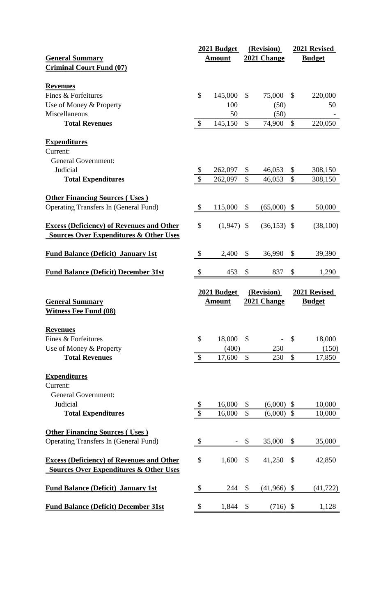|                                                   |                           | 2021 Budget   |                           | (Revision)    |               | 2021 Revised  |
|---------------------------------------------------|---------------------------|---------------|---------------------------|---------------|---------------|---------------|
| <b>General Summary</b>                            |                           | <b>Amount</b> |                           | 2021 Change   |               | <b>Budget</b> |
| <b>Criminal Court Fund (07)</b>                   |                           |               |                           |               |               |               |
|                                                   |                           |               |                           |               |               |               |
| <b>Revenues</b>                                   |                           |               |                           |               |               |               |
| Fines & Forfeitures                               | \$                        | 145,000       | $\mathbb{S}$              | 75,000        | $\mathbb{S}$  | 220,000       |
| Use of Money & Property                           |                           | 100           |                           | (50)          |               | 50            |
| Miscellaneous                                     |                           | 50            |                           | (50)          |               |               |
| <b>Total Revenues</b>                             | $\mathcal{S}$             |               | \$                        |               | \$            |               |
|                                                   |                           | 145,150       |                           | 74,900        |               | 220,050       |
|                                                   |                           |               |                           |               |               |               |
| <b>Expenditures</b>                               |                           |               |                           |               |               |               |
| Current:                                          |                           |               |                           |               |               |               |
| <b>General Government:</b>                        |                           |               |                           |               |               |               |
| Judicial                                          | $\boldsymbol{\mathsf{S}}$ | 262,097       | \$                        | 46,053        | \$            | 308,150       |
| <b>Total Expenditures</b>                         | \$                        | 262,097       | $\mathcal{S}$             | 46,053        | $\mathcal{S}$ | 308,150       |
|                                                   |                           |               |                           |               |               |               |
| <b>Other Financing Sources (Uses)</b>             |                           |               |                           |               |               |               |
| <b>Operating Transfers In (General Fund)</b>      | $\mathcal{S}$             | 115,000       | \$                        | (65,000)      | $\mathcal{S}$ | 50,000        |
|                                                   |                           |               |                           |               |               |               |
| <b>Excess (Deficiency) of Revenues and Other</b>  | \$                        | $(1,947)$ \$  |                           | $(36,153)$ \$ |               | (38,100)      |
| <b>Sources Over Expenditures &amp; Other Uses</b> |                           |               |                           |               |               |               |
|                                                   |                           |               |                           |               |               |               |
|                                                   |                           |               |                           |               |               |               |
| <b>Fund Balance (Deficit) January 1st</b>         | $\boldsymbol{\mathsf{S}}$ | 2,400         | \$                        | 36,990        | \$            | 39,390        |
|                                                   |                           |               |                           |               |               |               |
| <b>Fund Balance (Deficit) December 31st</b>       | $\boldsymbol{\mathsf{S}}$ | 453           | $\boldsymbol{\mathsf{S}}$ | 837           | \$            | 1,290         |
|                                                   |                           |               |                           |               |               |               |
|                                                   |                           |               |                           |               |               |               |
|                                                   |                           | 2021 Budget   |                           | (Revision)    |               | 2021 Revised  |
| <b>General Summary</b>                            |                           | <b>Amount</b> |                           | 2021 Change   |               | <b>Budget</b> |
| <b>Witness Fee Fund (08)</b>                      |                           |               |                           |               |               |               |
|                                                   |                           |               |                           |               |               |               |
|                                                   |                           |               |                           |               |               |               |
| <b>Revenues</b>                                   |                           |               |                           |               |               |               |
| Fines & Forfeitures                               | \$                        | 18,000        | \$                        |               | $\mathcal{S}$ | 18,000        |
| Use of Money & Property                           |                           | (400)         |                           | 250           |               | (150)         |
| <b>Total Revenues</b>                             | $\mathcal{S}$             | 17,600        | \$                        | 250           | \$            | 17,850        |
|                                                   |                           |               |                           |               |               |               |
| <b>Expenditures</b>                               |                           |               |                           |               |               |               |
| Current:                                          |                           |               |                           |               |               |               |
| <b>General Government:</b>                        |                           |               |                           |               |               |               |
| Judicial                                          | \$                        | 16,000        | \$                        | (6,000)       | $\mathcal{S}$ | 10,000        |
| <b>Total Expenditures</b>                         | \$                        | 16,000        | $\mathsf{\$}$             | (6,000)       | $\mathcal{S}$ | 10,000        |
|                                                   |                           |               |                           |               |               |               |
| <b>Other Financing Sources (Uses)</b>             |                           |               |                           |               |               |               |
|                                                   | \$                        |               | \$                        |               | \$            |               |
| <b>Operating Transfers In (General Fund)</b>      |                           |               |                           | 35,000        |               | 35,000        |
|                                                   |                           |               |                           |               |               |               |
| <b>Excess (Deficiency) of Revenues and Other</b>  | \$                        | 1,600         | \$                        | 41,250        | \$            | 42,850        |
| <b>Sources Over Expenditures &amp; Other Uses</b> |                           |               |                           |               |               |               |
|                                                   |                           |               |                           |               |               |               |
| <b>Fund Balance (Deficit) January 1st</b>         | \$                        | 244           | $\boldsymbol{\mathsf{S}}$ | $(41,966)$ \$ |               | (41, 722)     |
| <b>Fund Balance (Deficit) December 31st</b>       | \$                        | 1,844         | \$                        | $(716)$ \$    |               | 1,128         |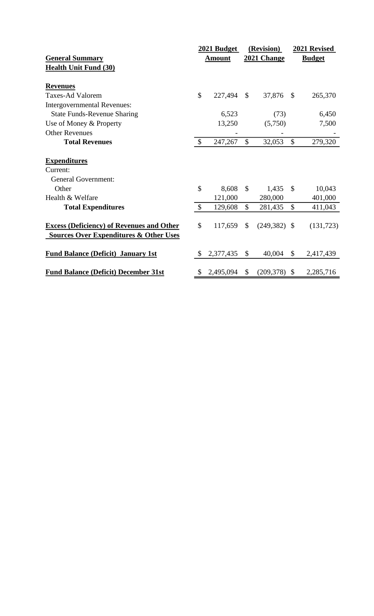|               |           |                                                        |                     |                           | 2021 Revised                       |
|---------------|-----------|--------------------------------------------------------|---------------------|---------------------------|------------------------------------|
|               |           |                                                        |                     |                           | <b>Budget</b>                      |
|               |           |                                                        |                     |                           |                                    |
|               |           |                                                        |                     |                           |                                    |
|               |           |                                                        |                     |                           |                                    |
|               | 227,494   | $\mathbb{S}$                                           | 37,876              | $\mathcal{S}$             | 265,370                            |
|               |           |                                                        |                     |                           |                                    |
|               | 6,523     |                                                        | (73)                |                           | 6,450                              |
|               | 13,250    |                                                        | (5,750)             |                           | 7,500                              |
|               |           |                                                        |                     |                           |                                    |
| $\mathcal{S}$ | 247,267   | \$                                                     | 32,053              | $\mathcal{S}$             | 279,320                            |
|               |           |                                                        |                     |                           |                                    |
|               |           |                                                        |                     |                           |                                    |
|               |           |                                                        |                     |                           |                                    |
| \$            | 8,608     | $\mathcal{S}$                                          | 1,435               | $\mathcal{S}$             | 10,043                             |
|               | 121,000   |                                                        | 280,000             |                           | 401,000                            |
| $\mathcal{S}$ | 129,608   | $\mathcal{S}$                                          | 281,435             | $\mathcal{S}$             | 411,043                            |
|               |           |                                                        |                     |                           |                                    |
|               |           |                                                        |                     |                           | (131, 723)                         |
|               |           |                                                        |                     |                           |                                    |
| $\mathcal{S}$ | 2,377,435 | $\mathbb{S}$                                           | 40,004              | \$                        | 2,417,439                          |
|               |           |                                                        |                     |                           | 2,285,716                          |
|               | \$<br>\$  | 2021 Budget<br><b>Amount</b><br>117,659<br>\$2,495,094 | $\mathcal{S}$<br>\$ | (Revision)<br>2021 Change | $(249,382)$ \$<br>(209, 378)<br>\$ |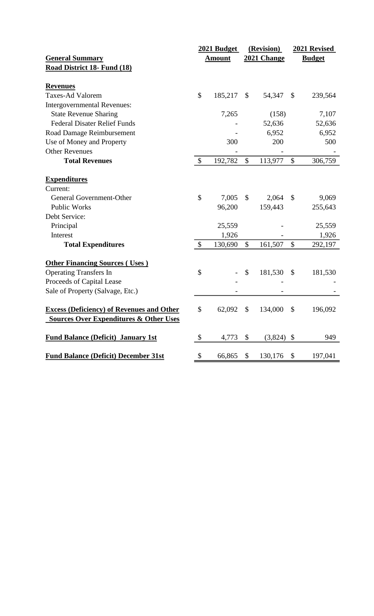|                                                   | 2021 Budget               |               | (Revision)    |              | 2021 Revised              |         |
|---------------------------------------------------|---------------------------|---------------|---------------|--------------|---------------------------|---------|
| <b>General Summary</b>                            |                           | <b>Amount</b> | 2021 Change   |              | <b>Budget</b>             |         |
| Road District 18- Fund (18)                       |                           |               |               |              |                           |         |
| <b>Revenues</b>                                   |                           |               |               |              |                           |         |
| <b>Taxes-Ad Valorem</b>                           | \$                        | 185,217       | $\mathcal{S}$ | 54,347       | $\mathcal{S}$             | 239,564 |
| <b>Intergovernmental Revenues:</b>                |                           |               |               |              |                           |         |
| <b>State Revenue Sharing</b>                      |                           | 7,265         |               | (158)        |                           | 7,107   |
| <b>Federal Disater Relief Funds</b>               |                           |               |               | 52,636       |                           | 52,636  |
| Road Damage Reimbursement                         |                           |               |               | 6,952        |                           | 6,952   |
| Use of Money and Property                         |                           | 300           |               | 200          |                           | 500     |
| <b>Other Revenues</b>                             |                           |               |               |              |                           |         |
| <b>Total Revenues</b>                             | $\boldsymbol{\mathsf{S}}$ | 192,782       | $\mathcal{S}$ | 113,977      | $\boldsymbol{\mathsf{S}}$ | 306,759 |
| <b>Expenditures</b>                               |                           |               |               |              |                           |         |
| Current:                                          |                           |               |               |              |                           |         |
| General Government-Other                          | \$                        | 7,005         | \$            | 2,064        | \$                        | 9,069   |
| <b>Public Works</b>                               |                           | 96,200        |               | 159,443      |                           | 255,643 |
| Debt Service:                                     |                           |               |               |              |                           |         |
| Principal                                         |                           | 25,559        |               |              |                           | 25,559  |
| Interest                                          |                           | 1,926         |               |              |                           | 1,926   |
| <b>Total Expenditures</b>                         | \$                        | 130,690       | $\mathbb{S}$  | 161,507      | \$                        | 292,197 |
| <b>Other Financing Sources (Uses)</b>             |                           |               |               |              |                           |         |
| <b>Operating Transfers In</b>                     | \$                        |               | \$            | 181,530      | \$                        | 181,530 |
| Proceeds of Capital Lease                         |                           |               |               |              |                           |         |
| Sale of Property (Salvage, Etc.)                  |                           |               |               |              |                           |         |
| <b>Excess (Deficiency) of Revenues and Other</b>  | \$                        | 62,092        | \$            | 134,000      | \$                        | 196,092 |
| <b>Sources Over Expenditures &amp; Other Uses</b> |                           |               |               |              |                           |         |
| <b>Fund Balance (Deficit) January 1st</b>         | \$                        | 4,773         | \$            | $(3,824)$ \$ |                           | 949     |
| <b>Fund Balance (Deficit) December 31st</b>       | \$                        | 66,865        | \$            | 130,176      | \$                        | 197,041 |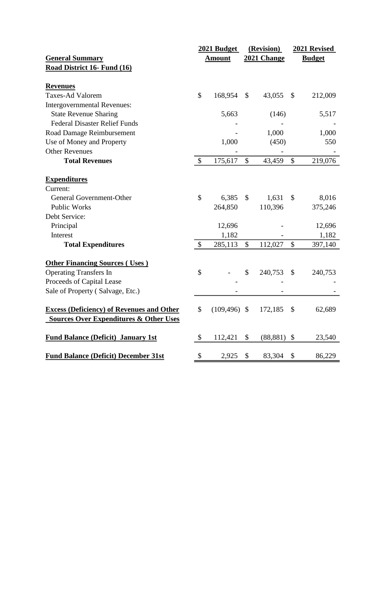|                                                   | 2021 Budget               |                 | (Revision)  |               | 2021 Revised              |               |
|---------------------------------------------------|---------------------------|-----------------|-------------|---------------|---------------------------|---------------|
| <b>General Summary</b>                            |                           | <b>Amount</b>   | 2021 Change |               |                           | <b>Budget</b> |
| Road District 16- Fund (16)                       |                           |                 |             |               |                           |               |
| <b>Revenues</b>                                   |                           |                 |             |               |                           |               |
| <b>Taxes-Ad Valorem</b>                           | \$                        | 168,954         | \$          | 43,055        | \$                        | 212,009       |
| <b>Intergovernmental Revenues:</b>                |                           |                 |             |               |                           |               |
| <b>State Revenue Sharing</b>                      |                           | 5,663           |             | (146)         |                           | 5,517         |
| <b>Federal Disaster Relief Funds</b>              |                           |                 |             |               |                           |               |
| <b>Road Damage Reimbursement</b>                  |                           |                 |             | 1,000         |                           | 1,000         |
| Use of Money and Property                         |                           | 1,000           |             | (450)         |                           | 550           |
| <b>Other Revenues</b>                             |                           |                 |             |               |                           |               |
| <b>Total Revenues</b>                             | $\boldsymbol{\mathsf{S}}$ | 175,617         | \$          | 43,459        | $\boldsymbol{\mathsf{S}}$ | 219,076       |
| <b>Expenditures</b>                               |                           |                 |             |               |                           |               |
| Current:                                          |                           |                 |             |               |                           |               |
| General Government-Other                          | \$                        | 6,385           | \$          | 1,631         | \$                        | 8,016         |
| <b>Public Works</b>                               |                           | 264,850         |             | 110,396       |                           | 375,246       |
| Debt Service:                                     |                           |                 |             |               |                           |               |
| Principal                                         |                           | 12,696          |             |               |                           | 12,696        |
| Interest                                          |                           | 1,182           |             |               |                           | 1,182         |
| <b>Total Expenditures</b>                         | \$                        | 285,113         | \$          | 112,027       | \$                        | 397,140       |
| <b>Other Financing Sources (Uses)</b>             |                           |                 |             |               |                           |               |
| <b>Operating Transfers In</b>                     | \$                        |                 | \$          | 240,753       | $\mathcal{S}$             | 240,753       |
| Proceeds of Capital Lease                         |                           |                 |             |               |                           |               |
| Sale of Property (Salvage, Etc.)                  |                           |                 |             |               |                           |               |
| <b>Excess (Deficiency) of Revenues and Other</b>  | \$                        | $(109, 496)$ \$ |             | 172,185       | \$                        | 62,689        |
| <b>Sources Over Expenditures &amp; Other Uses</b> |                           |                 |             |               |                           |               |
| <b>Fund Balance (Deficit) January 1st</b>         | \$                        | 112,421         | \$          | $(88,881)$ \$ |                           | 23,540        |
| <b>Fund Balance (Deficit) December 31st</b>       | \$                        | 2,925           | \$          | 83,304        | \$                        | 86,229        |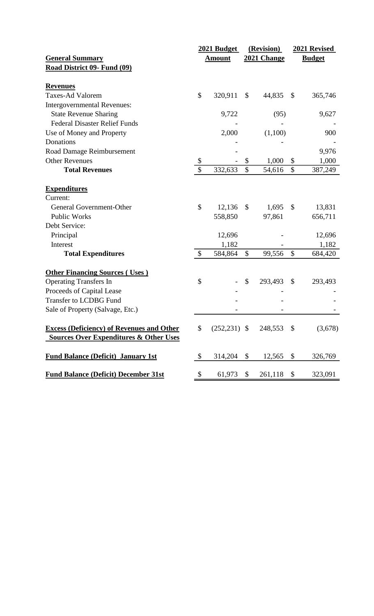|                                                                                                       | 2021 Budget               |               | (Revision)                |                           |                           | 2021 Revised  |
|-------------------------------------------------------------------------------------------------------|---------------------------|---------------|---------------------------|---------------------------|---------------------------|---------------|
| <b>General Summary</b>                                                                                |                           | <b>Amount</b> |                           | 2021 Change               |                           | <b>Budget</b> |
| Road District 09- Fund (09)                                                                           |                           |               |                           |                           |                           |               |
| <b>Revenues</b>                                                                                       |                           |               |                           |                           |                           |               |
| <b>Taxes-Ad Valorem</b>                                                                               | \$                        | 320,911       | \$                        | 44,835                    | \$                        | 365,746       |
| Intergovernmental Revenues:                                                                           |                           |               |                           |                           |                           |               |
| <b>State Revenue Sharing</b>                                                                          |                           | 9,722         |                           | (95)                      |                           | 9,627         |
| <b>Federal Disaster Relief Funds</b>                                                                  |                           |               |                           |                           |                           |               |
| Use of Money and Property                                                                             |                           | 2,000         |                           | (1,100)                   |                           | 900           |
| Donations                                                                                             |                           |               |                           |                           |                           |               |
| Road Damage Reimbursement                                                                             |                           |               |                           |                           |                           | 9,976         |
| <b>Other Revenues</b>                                                                                 | \$                        |               | \$                        | 1,000                     | \$                        | 1,000         |
| <b>Total Revenues</b>                                                                                 | $\mathcal{S}$             | 332,633       | \$                        | 54,616                    | \$                        | 387,249       |
| <b>Expenditures</b>                                                                                   |                           |               |                           |                           |                           |               |
| Current:                                                                                              |                           |               |                           |                           |                           |               |
| General Government-Other                                                                              | \$                        | 12,136        | $\mathcal{S}$             | 1,695                     | $\mathcal{S}$             | 13,831        |
| <b>Public Works</b>                                                                                   |                           | 558,850       |                           | 97,861                    |                           | 656,711       |
| Debt Service:                                                                                         |                           |               |                           |                           |                           |               |
| Principal                                                                                             |                           | 12,696        |                           |                           |                           | 12,696        |
| Interest                                                                                              |                           | 1,182         |                           |                           |                           | 1,182         |
| <b>Total Expenditures</b>                                                                             | $\boldsymbol{\mathsf{S}}$ | 584,864       | \$                        | 99,556                    | \$                        | 684,420       |
| <b>Other Financing Sources (Uses)</b>                                                                 |                           |               |                           |                           |                           |               |
| <b>Operating Transfers In</b>                                                                         | \$                        |               | \$                        | 293,493                   | \$                        | 293,493       |
| Proceeds of Capital Lease                                                                             |                           |               |                           |                           |                           |               |
| <b>Transfer to LCDBG Fund</b>                                                                         |                           |               |                           |                           |                           |               |
| Sale of Property (Salvage, Etc.)                                                                      |                           |               |                           |                           |                           |               |
| <b>Excess (Deficiency) of Revenues and Other</b><br><b>Sources Over Expenditures &amp; Other Uses</b> | \$                        |               |                           | $(252,231)$ \$ 248,553 \$ |                           | (3,678)       |
| <b>Fund Balance (Deficit) January 1st</b>                                                             | \$                        | 314,204       | $\boldsymbol{\mathsf{S}}$ | 12,565                    | \$                        | 326,769       |
| <b>Fund Balance (Deficit) December 31st</b>                                                           | \$                        | 61,973        | $\boldsymbol{\mathsf{S}}$ | 261,118                   | $\boldsymbol{\mathsf{S}}$ | 323,091       |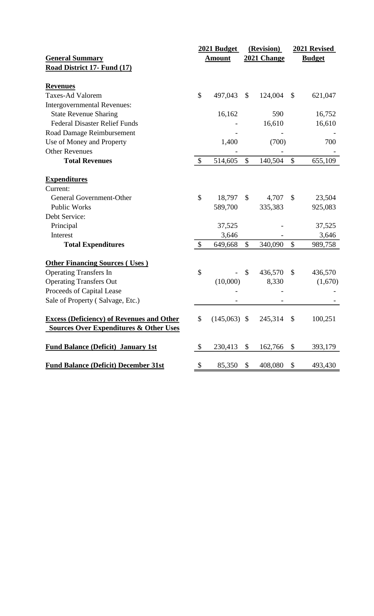| <b>General Summary</b><br>Road District 17- Fund (17)<br><b>Revenues</b><br><b>Taxes-Ad Valorem</b><br><b>Intergovernmental Revenues:</b><br><b>State Revenue Sharing</b> | \$<br>$\boldsymbol{\mathsf{S}}$ | <b>Amount</b><br>497,043<br>16,162<br>1,400<br>514,605 | $\boldsymbol{\mathsf{S}}$<br>$\mathcal{S}$ | 2021 Change<br>124,004<br>590<br>16,610<br>(700)<br>140,504 | \$<br>$\boldsymbol{\mathsf{S}}$ | <b>Budget</b><br>621,047<br>16,752<br>16,610<br>700<br>655,109 |
|---------------------------------------------------------------------------------------------------------------------------------------------------------------------------|---------------------------------|--------------------------------------------------------|--------------------------------------------|-------------------------------------------------------------|---------------------------------|----------------------------------------------------------------|
|                                                                                                                                                                           |                                 |                                                        |                                            |                                                             |                                 |                                                                |
|                                                                                                                                                                           |                                 |                                                        |                                            |                                                             |                                 |                                                                |
|                                                                                                                                                                           |                                 |                                                        |                                            |                                                             |                                 |                                                                |
|                                                                                                                                                                           |                                 |                                                        |                                            |                                                             |                                 |                                                                |
|                                                                                                                                                                           |                                 |                                                        |                                            |                                                             |                                 |                                                                |
|                                                                                                                                                                           |                                 |                                                        |                                            |                                                             |                                 |                                                                |
| <b>Federal Disaster Relief Funds</b>                                                                                                                                      |                                 |                                                        |                                            |                                                             |                                 |                                                                |
| Road Damage Reimbursement                                                                                                                                                 |                                 |                                                        |                                            |                                                             |                                 |                                                                |
| Use of Money and Property                                                                                                                                                 |                                 |                                                        |                                            |                                                             |                                 |                                                                |
| <b>Other Revenues</b>                                                                                                                                                     |                                 |                                                        |                                            |                                                             |                                 |                                                                |
| <b>Total Revenues</b>                                                                                                                                                     |                                 |                                                        |                                            |                                                             |                                 |                                                                |
| <b>Expenditures</b>                                                                                                                                                       |                                 |                                                        |                                            |                                                             |                                 |                                                                |
| Current:                                                                                                                                                                  |                                 |                                                        |                                            |                                                             |                                 |                                                                |
| General Government-Other                                                                                                                                                  | \$                              | 18,797                                                 | $\mathbb{S}$                               | 4,707                                                       | $\mathcal{S}$                   | 23,504                                                         |
| <b>Public Works</b>                                                                                                                                                       |                                 | 589,700                                                |                                            | 335,383                                                     |                                 | 925,083                                                        |
| Debt Service:                                                                                                                                                             |                                 |                                                        |                                            |                                                             |                                 |                                                                |
| Principal                                                                                                                                                                 |                                 | 37,525                                                 |                                            |                                                             |                                 | 37,525                                                         |
| Interest                                                                                                                                                                  |                                 | 3,646                                                  |                                            |                                                             |                                 | 3,646                                                          |
| <b>Total Expenditures</b>                                                                                                                                                 | $\mathcal{S}$                   | 649,668                                                | \$                                         | 340,090                                                     | \$                              | 989,758                                                        |
| <b>Other Financing Sources (Uses)</b>                                                                                                                                     |                                 |                                                        |                                            |                                                             |                                 |                                                                |
| <b>Operating Transfers In</b>                                                                                                                                             | \$                              |                                                        | \$                                         | 436,570                                                     | \$                              | 436,570                                                        |
| <b>Operating Transfers Out</b>                                                                                                                                            |                                 | (10,000)                                               |                                            | 8,330                                                       |                                 | (1,670)                                                        |
| Proceeds of Capital Lease                                                                                                                                                 |                                 |                                                        |                                            |                                                             |                                 |                                                                |
| Sale of Property (Salvage, Etc.)                                                                                                                                          |                                 |                                                        |                                            |                                                             |                                 |                                                                |
| <b>Excess (Deficiency) of Revenues and Other</b>                                                                                                                          | \$                              | $(145,063)$ \$                                         |                                            | 245,314 \$                                                  |                                 | 100,251                                                        |
| <b>Sources Over Expenditures &amp; Other Uses</b>                                                                                                                         |                                 |                                                        |                                            |                                                             |                                 |                                                                |
| <b>Fund Balance (Deficit) January 1st</b>                                                                                                                                 | $\boldsymbol{\mathsf{S}}$       | 230,413                                                | \$                                         | 162,766                                                     | \$                              | 393,179                                                        |
| <b>Fund Balance (Deficit) December 31st</b>                                                                                                                               | \$                              | 85,350                                                 | \$                                         | 408,080                                                     | \$                              | 493,430                                                        |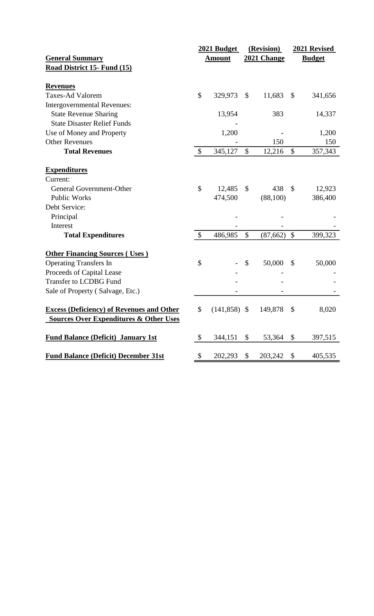|                                                   | 2021 Budget               |                | (Revision)                |             | 2021 Revised  |               |
|---------------------------------------------------|---------------------------|----------------|---------------------------|-------------|---------------|---------------|
| <b>General Summary</b>                            |                           | <b>Amount</b>  |                           | 2021 Change |               | <b>Budget</b> |
| Road District 15- Fund (15)                       |                           |                |                           |             |               |               |
| <b>Revenues</b>                                   |                           |                |                           |             |               |               |
| <b>Taxes-Ad Valorem</b>                           | $\mathbb{S}$              | 329,973        | $\mathcal{S}$             | 11,683      | \$            | 341,656       |
| Intergovernmental Revenues:                       |                           |                |                           |             |               |               |
| <b>State Revenue Sharing</b>                      |                           | 13,954         |                           | 383         |               | 14,337        |
| <b>State Disaster Relief Funds</b>                |                           |                |                           |             |               |               |
| Use of Money and Property                         |                           | 1,200          |                           |             |               | 1,200         |
| <b>Other Revenues</b>                             |                           |                |                           | 150         |               | 150           |
| <b>Total Revenues</b>                             | $\boldsymbol{\mathsf{S}}$ | 345,127        | \$                        | 12,216      | \$            | 357,343       |
| <b>Expenditures</b>                               |                           |                |                           |             |               |               |
| Current:                                          |                           |                |                           |             |               |               |
| General Government-Other                          | \$                        | 12,485         | \$                        | 438         | \$            | 12,923        |
| <b>Public Works</b>                               |                           | 474,500        |                           | (88,100)    |               | 386,400       |
| Debt Service:                                     |                           |                |                           |             |               |               |
| Principal                                         |                           |                |                           |             |               |               |
| Interest                                          |                           |                |                           |             |               |               |
| <b>Total Expenditures</b>                         | $\mathcal{S}$             | 486,985        | $\boldsymbol{\mathsf{S}}$ | (87, 662)   | $\mathcal{S}$ | 399,323       |
| <b>Other Financing Sources (Uses)</b>             |                           |                |                           |             |               |               |
| <b>Operating Transfers In</b>                     | \$                        |                | \$                        | 50,000      | \$            | 50,000        |
| Proceeds of Capital Lease                         |                           |                |                           |             |               |               |
| <b>Transfer to LCDBG Fund</b>                     |                           |                |                           |             |               |               |
| Sale of Property (Salvage, Etc.)                  |                           |                |                           |             |               |               |
| <b>Excess (Deficiency) of Revenues and Other</b>  | \$                        | $(141,858)$ \$ |                           | 149,878     | $\mathcal{S}$ | 8,020         |
| <b>Sources Over Expenditures &amp; Other Uses</b> |                           |                |                           |             |               |               |
| <b>Fund Balance (Deficit) January 1st</b>         | \$                        | 344,151        | \$                        | 53,364      | \$            | 397,515       |
| <b>Fund Balance (Deficit) December 31st</b>       | \$                        | 202,293        | \$                        | 203,242     | \$            | 405,535       |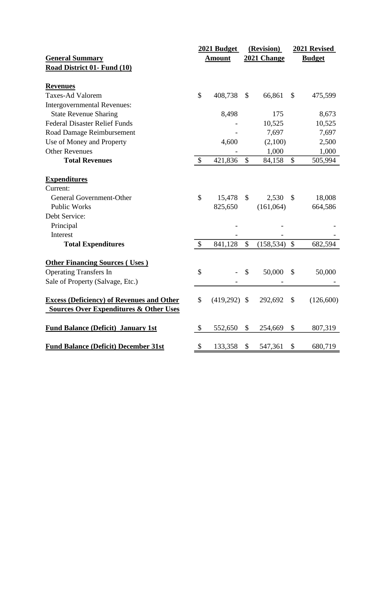|                                                                                                       |               | 2021 Budget   | (Revision)                |                 | 2021 Revised  |               |
|-------------------------------------------------------------------------------------------------------|---------------|---------------|---------------------------|-----------------|---------------|---------------|
| <b>General Summary</b>                                                                                |               | <b>Amount</b> |                           | 2021 Change     |               | <b>Budget</b> |
| Road District 01- Fund (10)                                                                           |               |               |                           |                 |               |               |
| <b>Revenues</b>                                                                                       |               |               |                           |                 |               |               |
| <b>Taxes-Ad Valorem</b>                                                                               | \$            | 408,738       | $\boldsymbol{\mathsf{S}}$ | 66,861          | $\mathcal{S}$ | 475,599       |
| Intergovernmental Revenues:                                                                           |               |               |                           |                 |               |               |
| <b>State Revenue Sharing</b>                                                                          |               | 8,498         |                           | 175             |               | 8,673         |
| <b>Federal Disaster Relief Funds</b>                                                                  |               |               |                           | 10,525          |               | 10,525        |
| Road Damage Reimbursement                                                                             |               |               |                           | 7,697           |               | 7,697         |
| Use of Money and Property                                                                             |               | 4,600         |                           | (2,100)         |               | 2,500         |
| <b>Other Revenues</b>                                                                                 |               |               |                           | 1,000           |               | 1,000         |
| <b>Total Revenues</b>                                                                                 | $\$\$         | 421,836       | \$                        | 84,158          | \$            | 505,994       |
| <b>Expenditures</b>                                                                                   |               |               |                           |                 |               |               |
| Current:                                                                                              |               |               |                           |                 |               |               |
| General Government-Other                                                                              | \$            | 15,478        | $\boldsymbol{\mathsf{S}}$ | 2,530           | $\mathbb{S}$  | 18,008        |
| <b>Public Works</b>                                                                                   |               | 825,650       |                           | (161,064)       |               | 664,586       |
| Debt Service:                                                                                         |               |               |                           |                 |               |               |
| Principal                                                                                             |               |               |                           |                 |               |               |
| Interest                                                                                              |               |               |                           |                 |               |               |
| <b>Total Expenditures</b>                                                                             | $\mathcal{S}$ | 841,128       | $\mathcal{S}$             | $(158, 534)$ \$ |               | 682,594       |
| <b>Other Financing Sources (Uses)</b>                                                                 |               |               |                           |                 |               |               |
| <b>Operating Transfers In</b>                                                                         | \$            |               | \$                        | 50,000          | $\mathcal{S}$ | 50,000        |
| Sale of Property (Salvage, Etc.)                                                                      |               |               |                           |                 |               |               |
|                                                                                                       |               |               |                           |                 |               |               |
| <b>Excess (Deficiency) of Revenues and Other</b><br><b>Sources Over Expenditures &amp; Other Uses</b> | \$            | (419,292)     | $\boldsymbol{\mathsf{S}}$ | 292,692         | $\mathcal{S}$ | (126,600)     |
|                                                                                                       |               |               |                           |                 |               |               |
| <b>Fund Balance (Deficit) January 1st</b>                                                             | \$            | 552,650       | \$                        | 254,669         | \$            | 807,319       |
| <b>Fund Balance (Deficit) December 31st</b>                                                           | \$            | 133,358       | \$                        | 547,361         | \$            | 680,719       |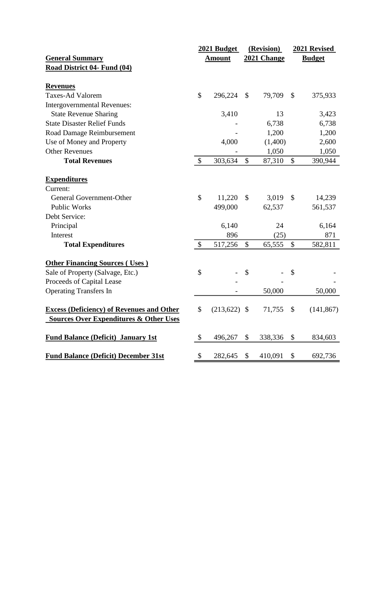|                                                   | 2021 Budget               |                | (Revision)    |             | 2021 Revised  |               |
|---------------------------------------------------|---------------------------|----------------|---------------|-------------|---------------|---------------|
| <b>General Summary</b>                            |                           | <b>Amount</b>  |               | 2021 Change |               | <b>Budget</b> |
| Road District 04- Fund (04)                       |                           |                |               |             |               |               |
| <b>Revenues</b>                                   |                           |                |               |             |               |               |
| <b>Taxes-Ad Valorem</b>                           | \$                        | 296,224        | $\mathcal{S}$ | 79,709      | \$            | 375,933       |
| <b>Intergovernmental Revenues:</b>                |                           |                |               |             |               |               |
| <b>State Revenue Sharing</b>                      |                           | 3,410          |               | 13          |               | 3,423         |
| <b>State Disaster Relief Funds</b>                |                           |                |               | 6,738       |               | 6,738         |
| Road Damage Reimbursement                         |                           |                |               | 1,200       |               | 1,200         |
| Use of Money and Property                         |                           | 4,000          |               | (1,400)     |               | 2,600         |
| <b>Other Revenues</b>                             |                           |                |               | 1,050       |               | 1,050         |
| <b>Total Revenues</b>                             | $\boldsymbol{\mathsf{S}}$ | 303,634        | $\mathcal{S}$ | 87,310      | \$            | 390,944       |
|                                                   |                           |                |               |             |               |               |
| <b>Expenditures</b><br>Current:                   |                           |                |               |             |               |               |
| General Government-Other                          | \$                        | 11,220         | \$            | 3,019       | $\mathcal{S}$ | 14,239        |
| <b>Public Works</b>                               |                           | 499,000        |               | 62,537      |               | 561,537       |
| Debt Service:                                     |                           |                |               |             |               |               |
| Principal                                         |                           | 6,140          |               | 24          |               | 6,164         |
| Interest                                          |                           | 896            |               | (25)        |               | 871           |
| <b>Total Expenditures</b>                         | \$                        | 517,256        | $\mathbb{S}$  | 65,555      | \$            | 582,811       |
| <b>Other Financing Sources (Uses)</b>             |                           |                |               |             |               |               |
| Sale of Property (Salvage, Etc.)                  | \$                        |                | \$            |             | $\mathcal{S}$ |               |
| Proceeds of Capital Lease                         |                           |                |               |             |               |               |
| <b>Operating Transfers In</b>                     |                           |                |               | 50,000      |               | 50,000        |
| <b>Excess (Deficiency) of Revenues and Other</b>  | \$                        | $(213,622)$ \$ |               | 71,755      | \$            | (141, 867)    |
| <b>Sources Over Expenditures &amp; Other Uses</b> |                           |                |               |             |               |               |
| <b>Fund Balance (Deficit) January 1st</b>         | \$                        | 496,267        | \$            | 338,336     | \$            | 834,603       |
| <b>Fund Balance (Deficit) December 31st</b>       | \$                        | 282,645        | \$            | 410,091     | \$            | 692,736       |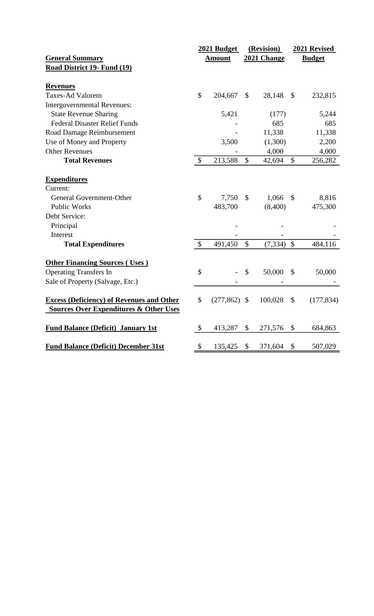|                                                                                                       |              | 2021 Budget   |                           | (Revision)   |                           | 2021 Revised  |
|-------------------------------------------------------------------------------------------------------|--------------|---------------|---------------------------|--------------|---------------------------|---------------|
| <b>General Summary</b>                                                                                |              | <b>Amount</b> |                           | 2021 Change  |                           | <b>Budget</b> |
| Road District 19- Fund (19)                                                                           |              |               |                           |              |                           |               |
| <b>Revenues</b>                                                                                       |              |               |                           |              |                           |               |
| <b>Taxes-Ad Valorem</b>                                                                               | $\mathbb{S}$ | 204,667       | $\mathcal{S}$             | 28,148       | $\boldsymbol{\mathsf{S}}$ | 232,815       |
| <b>Intergovernmental Revenues:</b>                                                                    |              |               |                           |              |                           |               |
| <b>State Revenue Sharing</b>                                                                          |              | 5,421         |                           | (177)        |                           | 5,244         |
| <b>Federal Disaster Relief Funds</b>                                                                  |              |               |                           | 685          |                           | 685           |
| Road Damage Reimbursement                                                                             |              |               |                           | 11,338       |                           | 11,338        |
| Use of Money and Property                                                                             |              | 3,500         |                           | (1,300)      |                           | 2,200         |
| <b>Other Revenues</b>                                                                                 |              |               |                           | 4,000        |                           | 4,000         |
| <b>Total Revenues</b>                                                                                 | \$           | 213,588       | \$                        | 42,694       | \$                        | 256,282       |
| <b>Expenditures</b>                                                                                   |              |               |                           |              |                           |               |
| Current:                                                                                              |              |               |                           |              |                           |               |
| General Government-Other                                                                              | \$           | 7,750         | \$                        | 1,066        | \$                        | 8,816         |
| <b>Public Works</b>                                                                                   |              | 483,700       |                           | (8,400)      |                           | 475,300       |
| Debt Service:                                                                                         |              |               |                           |              |                           |               |
| Principal                                                                                             |              |               |                           |              |                           |               |
| Interest                                                                                              |              |               |                           |              |                           |               |
| <b>Total Expenditures</b>                                                                             | $\mathbb{S}$ | 491,450       | $\mathcal{S}$             | $(7,334)$ \$ |                           | 484,116       |
| <b>Other Financing Sources (Uses)</b>                                                                 |              |               |                           |              |                           |               |
| <b>Operating Transfers In</b>                                                                         | \$           |               | \$                        | 50,000       | $\mathcal{S}$             | 50,000        |
| Sale of Property (Salvage, Etc.)                                                                      |              |               |                           |              |                           |               |
| <b>Excess (Deficiency) of Revenues and Other</b><br><b>Sources Over Expenditures &amp; Other Uses</b> | \$           | (277, 862)    | $\boldsymbol{\mathsf{S}}$ | 100,028      | \$                        | (177, 834)    |
| <b>Fund Balance (Deficit) January 1st</b>                                                             | \$           | 413,287       | \$                        | 271,576      | \$                        | 684,863       |
| <b>Fund Balance (Deficit) December 31st</b>                                                           | \$           | 135,425       | \$                        | 371,604      | \$                        | 507,029       |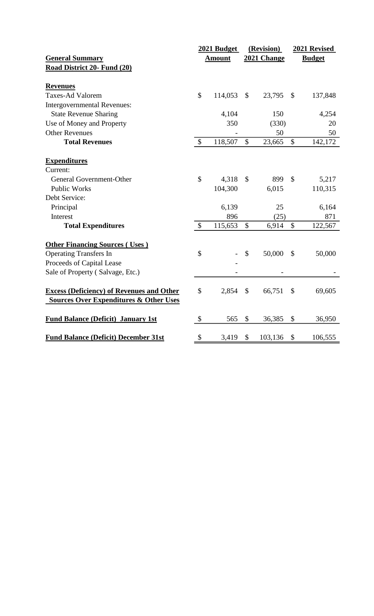|                                                                                                       |               | 2021 Budget   |               | (Revision)  | 2021 Revised  |               |  |  |
|-------------------------------------------------------------------------------------------------------|---------------|---------------|---------------|-------------|---------------|---------------|--|--|
| <b>General Summary</b>                                                                                |               | <b>Amount</b> |               | 2021 Change |               | <b>Budget</b> |  |  |
| Road District 20- Fund (20)                                                                           |               |               |               |             |               |               |  |  |
| <b>Revenues</b>                                                                                       |               |               |               |             |               |               |  |  |
| <b>Taxes-Ad Valorem</b>                                                                               | \$            | 114,053       | \$            | 23,795      | \$            | 137,848       |  |  |
| <b>Intergovernmental Revenues:</b>                                                                    |               |               |               |             |               |               |  |  |
| <b>State Revenue Sharing</b>                                                                          |               | 4,104         |               | 150         |               | 4,254         |  |  |
| Use of Money and Property                                                                             |               | 350           |               | (330)       |               | 20            |  |  |
| <b>Other Revenues</b>                                                                                 |               |               |               | 50          |               | 50            |  |  |
| <b>Total Revenues</b>                                                                                 | $\mathcal{S}$ | 118,507       | \$            | 23,665      | \$            | 142,172       |  |  |
| <b>Expenditures</b>                                                                                   |               |               |               |             |               |               |  |  |
| Current:                                                                                              |               |               |               |             |               |               |  |  |
| General Government-Other                                                                              | \$            | 4,318         | \$            | 899         | \$            | 5,217         |  |  |
| <b>Public Works</b>                                                                                   |               | 104,300       |               | 6,015       |               | 110,315       |  |  |
| Debt Service:                                                                                         |               |               |               |             |               |               |  |  |
| Principal                                                                                             |               | 6,139         |               | 25          |               | 6,164         |  |  |
| Interest                                                                                              |               | 896           |               | (25)        |               | 871           |  |  |
| <b>Total Expenditures</b>                                                                             | $\mathcal{S}$ | 115,653       | $\mathcal{S}$ | 6,914       | $\mathcal{S}$ | 122,567       |  |  |
| <b>Other Financing Sources (Uses)</b>                                                                 |               |               |               |             |               |               |  |  |
| <b>Operating Transfers In</b>                                                                         | \$            |               | \$            | 50,000      | $\mathcal{S}$ | 50,000        |  |  |
| Proceeds of Capital Lease                                                                             |               |               |               |             |               |               |  |  |
| Sale of Property (Salvage, Etc.)                                                                      |               |               |               |             |               |               |  |  |
| <b>Excess (Deficiency) of Revenues and Other</b><br><b>Sources Over Expenditures &amp; Other Uses</b> | \$            | 2,854         | \$            | 66,751      | \$            | 69,605        |  |  |
| <b>Fund Balance (Deficit) January 1st</b>                                                             | \$            | 565           | \$            | 36,385      | \$            | 36,950        |  |  |
| <b>Fund Balance (Deficit) December 31st</b>                                                           | \$            | 3,419         | \$            | 103,136     | \$            | 106,555       |  |  |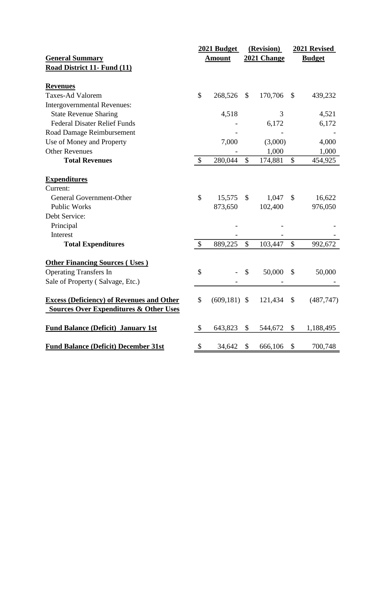|                                                                                                       |               | 2021 Budget   |                           | (Revision)  | 2021 Revised  |               |  |  |
|-------------------------------------------------------------------------------------------------------|---------------|---------------|---------------------------|-------------|---------------|---------------|--|--|
| <b>General Summary</b>                                                                                |               | <b>Amount</b> |                           | 2021 Change |               | <b>Budget</b> |  |  |
| Road District 11- Fund (11)                                                                           |               |               |                           |             |               |               |  |  |
|                                                                                                       |               |               |                           |             |               |               |  |  |
| <b>Revenues</b><br><b>Taxes-Ad Valorem</b>                                                            | \$            |               |                           |             |               |               |  |  |
|                                                                                                       |               | 268,526       | $\mathbb{S}$              | 170,706     | $\mathcal{S}$ | 439,232       |  |  |
| <b>Intergovernmental Revenues:</b>                                                                    |               |               |                           |             |               |               |  |  |
| <b>State Revenue Sharing</b>                                                                          |               | 4,518         |                           | 3           |               | 4,521         |  |  |
| <b>Federal Disater Relief Funds</b>                                                                   |               |               |                           | 6,172       |               | 6,172         |  |  |
| Road Damage Reimbursement                                                                             |               |               |                           |             |               |               |  |  |
| Use of Money and Property                                                                             |               | 7,000         |                           | (3,000)     |               | 4,000         |  |  |
| <b>Other Revenues</b>                                                                                 |               |               |                           | 1,000       |               | 1,000         |  |  |
| <b>Total Revenues</b>                                                                                 | \$            | 280,044       | \$                        | 174,881     | \$            | 454,925       |  |  |
| <b>Expenditures</b>                                                                                   |               |               |                           |             |               |               |  |  |
| Current:                                                                                              |               |               |                           |             |               |               |  |  |
| General Government-Other                                                                              | \$            | 15,575        | \$                        | 1,047       | \$            | 16,622        |  |  |
| <b>Public Works</b>                                                                                   |               | 873,650       |                           | 102,400     |               | 976,050       |  |  |
| Debt Service:                                                                                         |               |               |                           |             |               |               |  |  |
|                                                                                                       |               |               |                           |             |               |               |  |  |
| Principal                                                                                             |               |               |                           |             |               |               |  |  |
| Interest                                                                                              |               |               |                           |             |               |               |  |  |
| <b>Total Expenditures</b>                                                                             | $\mathcal{S}$ | 889,225       | $\mathcal{S}$             | 103,447     | $\mathcal{S}$ | 992,672       |  |  |
| <b>Other Financing Sources (Uses)</b>                                                                 |               |               |                           |             |               |               |  |  |
| <b>Operating Transfers In</b>                                                                         | \$            |               | \$                        | 50,000      | $\mathcal{S}$ | 50,000        |  |  |
| Sale of Property (Salvage, Etc.)                                                                      |               |               |                           |             |               |               |  |  |
|                                                                                                       |               |               |                           |             |               |               |  |  |
| <b>Excess (Deficiency) of Revenues and Other</b><br><b>Sources Over Expenditures &amp; Other Uses</b> | \$            | (609, 181)    | $\boldsymbol{\mathsf{S}}$ | 121,434     | \$            | (487,747)     |  |  |
|                                                                                                       |               |               |                           |             |               |               |  |  |
| <b>Fund Balance (Deficit) January 1st</b>                                                             | \$            | 643,823       | \$                        | 544,672     | \$            | 1,188,495     |  |  |
|                                                                                                       |               |               |                           |             |               |               |  |  |
| <b>Fund Balance (Deficit) December 31st</b>                                                           | \$            | 34,642        | \$                        | 666,106     | \$            | 700,748       |  |  |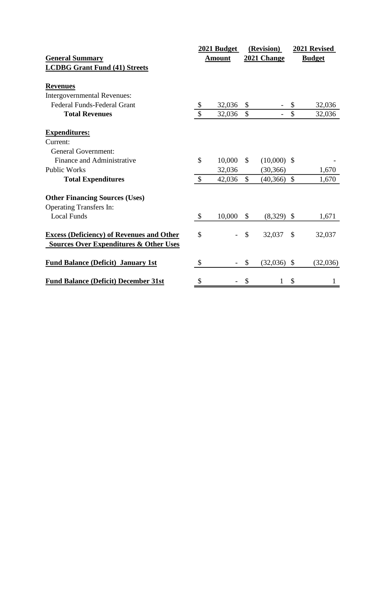|                                                                                                       |                           | 2021 Budget   |               | (Revision)    |               | 2021 Revised  |
|-------------------------------------------------------------------------------------------------------|---------------------------|---------------|---------------|---------------|---------------|---------------|
| <b>General Summary</b>                                                                                |                           | <b>Amount</b> |               | 2021 Change   |               | <b>Budget</b> |
| <b>LCDBG Grant Fund (41) Streets</b>                                                                  |                           |               |               |               |               |               |
| <b>Revenues</b>                                                                                       |                           |               |               |               |               |               |
| <b>Intergovernmental Revenues:</b>                                                                    |                           |               |               |               |               |               |
| <b>Federal Funds-Federal Grant</b>                                                                    | \$                        | 32,036        | $\mathcal{S}$ |               | \$            | 32,036        |
| <b>Total Revenues</b>                                                                                 | $\mathcal{S}$             | 32,036        | $\mathcal{S}$ |               | $\mathcal{S}$ | 32,036        |
| <b>Expenditures:</b>                                                                                  |                           |               |               |               |               |               |
| Current:                                                                                              |                           |               |               |               |               |               |
| <b>General Government:</b>                                                                            |                           |               |               |               |               |               |
| Finance and Administrative                                                                            | \$                        | 10,000        | $\mathcal{S}$ | $(10,000)$ \$ |               |               |
| <b>Public Works</b>                                                                                   |                           | 32,036        |               | (30, 366)     |               | 1,670         |
| <b>Total Expenditures</b>                                                                             | $\mathbb{S}$              | 42,036        | $\mathbb{S}$  | (40, 366)     | $\mathbb{S}$  | 1,670         |
| <b>Other Financing Sources (Uses)</b>                                                                 |                           |               |               |               |               |               |
| <b>Operating Transfers In:</b>                                                                        |                           |               |               |               |               |               |
| <b>Local Funds</b>                                                                                    | $\boldsymbol{\mathsf{S}}$ | 10,000        | \$            | (8,329)       | $\mathcal{S}$ | 1,671         |
| <b>Excess (Deficiency) of Revenues and Other</b><br><b>Sources Over Expenditures &amp; Other Uses</b> | \$                        |               | $\mathcal{S}$ | 32,037        | $\mathcal{S}$ | 32,037        |
| <b>Fund Balance (Deficit) January 1st</b>                                                             | \$                        |               | \$            | $(32,036)$ \$ |               | (32,036)      |
| <b>Fund Balance (Deficit) December 31st</b>                                                           | \$                        |               | \$            | 1             | \$            | 1             |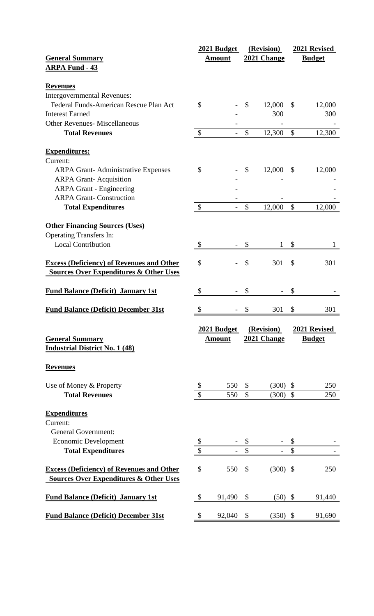|                                                   |                           | 2021 Budget              |               | (Revision)         |               | 2021 Revised  |
|---------------------------------------------------|---------------------------|--------------------------|---------------|--------------------|---------------|---------------|
| <b>General Summary</b>                            |                           | <b>Amount</b>            |               | <b>2021 Change</b> |               | <b>Budget</b> |
| <b>ARPA Fund - 43</b>                             |                           |                          |               |                    |               |               |
|                                                   |                           |                          |               |                    |               |               |
| <b>Revenues</b>                                   |                           |                          |               |                    |               |               |
| <b>Intergovernmental Revenues:</b>                |                           |                          |               |                    |               |               |
| Federal Funds-American Rescue Plan Act            | \$                        |                          | \$            | 12,000             | \$            | 12,000        |
| <b>Interest Earned</b>                            |                           |                          |               | 300                |               | 300           |
| <b>Other Revenues- Miscellaneous</b>              |                           |                          |               |                    |               |               |
| <b>Total Revenues</b>                             | \$                        | $\overline{\phantom{a}}$ | \$            | 12,300             | $\mathcal{S}$ | 12,300        |
|                                                   |                           |                          |               |                    |               |               |
| <b>Expenditures:</b>                              |                           |                          |               |                    |               |               |
| Current:                                          |                           |                          |               |                    |               |               |
| <b>ARPA Grant-Administrative Expenses</b>         | \$                        |                          | \$            | 12,000             | \$            | 12,000        |
| <b>ARPA Grant-Acquisition</b>                     |                           |                          |               |                    |               |               |
| <b>ARPA Grant - Engineering</b>                   |                           |                          |               |                    |               |               |
| <b>ARPA Grant-Construction</b>                    |                           |                          |               |                    |               |               |
| <b>Total Expenditures</b>                         | $\boldsymbol{\mathsf{S}}$ | $\overline{\phantom{0}}$ | \$            | 12,000             | $\mathbb{S}$  | 12,000        |
|                                                   |                           |                          |               |                    |               |               |
| <b>Other Financing Sources (Uses)</b>             |                           |                          |               |                    |               |               |
| <b>Operating Transfers In:</b>                    |                           |                          |               |                    |               |               |
| <b>Local Contribution</b>                         |                           |                          |               |                    |               |               |
|                                                   | \$                        |                          | \$            | 1                  | \$            | 1             |
|                                                   |                           |                          |               |                    |               |               |
| <b>Excess (Deficiency) of Revenues and Other</b>  | \$                        |                          | \$            | 301                | \$            | 301           |
| <b>Sources Over Expenditures &amp; Other Uses</b> |                           |                          |               |                    |               |               |
| <b>Fund Balance (Deficit) January 1st</b>         | \$                        |                          | \$            |                    | \$            |               |
|                                                   |                           |                          |               |                    |               |               |
| <b>Fund Balance (Deficit) December 31st</b>       |                           |                          | \$            | 301                | \$            | 301           |
|                                                   |                           |                          |               |                    |               |               |
|                                                   |                           | 2021 Budget              |               | (Revision)         |               | 2021 Revised  |
| <b>General Summary</b>                            |                           | <b>Amount</b>            |               | 2021 Change        |               | <b>Budget</b> |
| <b>Industrial District No. 1 (48)</b>             |                           |                          |               |                    |               |               |
|                                                   |                           |                          |               |                    |               |               |
| <b>Revenues</b>                                   |                           |                          |               |                    |               |               |
|                                                   |                           |                          |               |                    |               |               |
| Use of Money & Property                           | \$                        | 550                      | \$            | (300)              | \$            | 250           |
| <b>Total Revenues</b>                             | \$                        | 550                      | $\mathsf{\$}$ | (300)              | $\mathcal{S}$ | 250           |
|                                                   |                           |                          |               |                    |               |               |
| <b>Expenditures</b>                               |                           |                          |               |                    |               |               |
| Current:                                          |                           |                          |               |                    |               |               |
| <b>General Government:</b>                        |                           |                          |               |                    |               |               |
| <b>Economic Development</b>                       | \$                        |                          | \$            |                    | \$            |               |
|                                                   | \$                        |                          | \$            |                    | \$            |               |
| <b>Total Expenditures</b>                         |                           |                          |               |                    |               |               |
| <b>Excess (Deficiency) of Revenues and Other</b>  | \$                        | 550                      | \$            | $(300)$ \$         |               | 250           |
| <b>Sources Over Expenditures &amp; Other Uses</b> |                           |                          |               |                    |               |               |
|                                                   |                           |                          |               |                    |               |               |
| <b>Fund Balance (Deficit) January 1st</b>         | $\boldsymbol{\mathsf{S}}$ | 91,490                   | \$            | (50)               | \$            | 91,440        |
|                                                   |                           |                          |               |                    |               |               |
| <b>Fund Balance (Deficit) December 31st</b>       | \$                        | 92,040                   | \$            | $(350)$ \$         |               | 91,690        |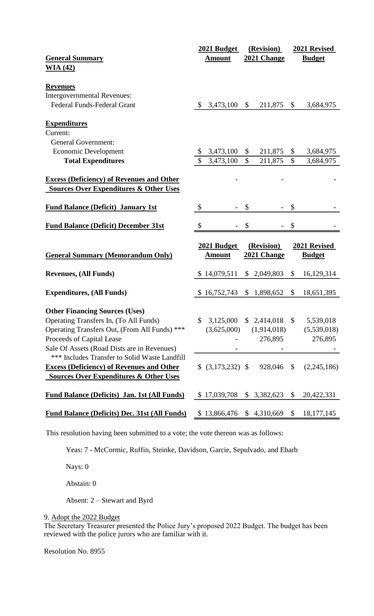|                                                                                               | 2021 Budget                | (Revision)               | 2021 Revised                           |
|-----------------------------------------------------------------------------------------------|----------------------------|--------------------------|----------------------------------------|
| <b>General Summary</b>                                                                        | <b>Amount</b>              | 2021 Change              | <b>Budget</b>                          |
| WA(42)                                                                                        |                            |                          |                                        |
|                                                                                               |                            |                          |                                        |
| <b>Revenues</b>                                                                               |                            |                          |                                        |
| <b>Intergovernmental Revenues:</b>                                                            |                            |                          |                                        |
| <b>Federal Funds-Federal Grant</b>                                                            | 3,473,100<br>$\mathcal{S}$ | \$<br>211,875            | \$<br>3,684,975                        |
|                                                                                               |                            |                          |                                        |
| <b>Expenditures</b>                                                                           |                            |                          |                                        |
| Current:                                                                                      |                            |                          |                                        |
| <b>General Government:</b>                                                                    |                            |                          |                                        |
| <b>Economic Development</b>                                                                   | 3,473,100                  | \$<br>211,875            | \$<br>3,684,975                        |
| <b>Total Expenditures</b>                                                                     | 3,473,100                  | $\mathcal{S}$<br>211,875 | $\mathbb{S}$<br>3,684,975              |
|                                                                                               |                            |                          |                                        |
| <b>Excess (Deficiency) of Revenues and Other</b>                                              |                            |                          |                                        |
| <b>Sources Over Expenditures &amp; Other Uses</b>                                             |                            |                          |                                        |
|                                                                                               |                            |                          |                                        |
| <b>Fund Balance (Deficit) January 1st</b>                                                     | \$                         | \$                       | \$                                     |
|                                                                                               |                            |                          |                                        |
| <b>Fund Balance (Deficit) December 31st</b>                                                   | \$                         | \$                       | \$                                     |
|                                                                                               |                            |                          |                                        |
|                                                                                               |                            |                          |                                        |
|                                                                                               | 2021 Budget                | (Revision)               | 2021 Revised                           |
| <b>General Summary (Memorandum Only)</b>                                                      | <b>Amount</b>              | 2021 Change              | <b>Budget</b>                          |
|                                                                                               |                            |                          |                                        |
| <b>Revenues, (All Funds)</b>                                                                  | \$14,079,511               | \$2,049,803              | \$<br>16,129,314                       |
|                                                                                               |                            |                          |                                        |
| <b>Expenditures, (All Funds)</b>                                                              | \$16,752,743               | \$1,898,652              | \$<br>18,651,395                       |
|                                                                                               |                            |                          |                                        |
| <b>Other Financing Sources (Uses)</b>                                                         |                            |                          |                                        |
| Operating Transfers In, (To All Funds)                                                        |                            |                          | \$ 3,125,000 \$ 2,414,018 \$ 5,539,018 |
| Operating Transfers Out, (From All Funds) ***                                                 | (3,625,000)                | (1,914,018)              | (5,539,018)                            |
| Proceeds of Capital Lease                                                                     |                            | 276,895                  | 276,895                                |
| Sale Of Assets (Road Dists are in Revenues)                                                   |                            |                          |                                        |
| *** Includes Transfer to Solid Waste Landfill                                                 |                            |                          |                                        |
| <b>Excess (Deficiency) of Revenues and Other</b>                                              | $$ (3,173,232)$ \;         | 928,046 \$               | (2,245,186)                            |
| <b>Sources Over Expenditures &amp; Other Uses</b>                                             |                            |                          |                                        |
|                                                                                               |                            |                          |                                        |
| <b>Fund Balance (Deficits) Jan. 1st (All Funds)</b>                                           | \$17,039,708               | \$3,382,623              | $\mathcal{S}$<br>20,422,331            |
| <b>Fund Balance (Deficits) Dec. 31st (All Funds)</b> \$ 13,866,476 \$ 4,310,669 \$ 18,177,145 |                            |                          |                                        |

This resolution having been submitted to a vote; the vote thereon was as follows:

Yeas: 7 - McCormic, Ruffin, Steinke, Davidson, Garcie, Sepulvado, and Ebarb

Nays: 0

Abstain: 0

Absent: 2 – Stewart and Byrd

9. Adopt the 2022 Budget

The Secretary Treasurer presented the Police Jury's proposed 2022 Budget. The budget has been reviewed with the police jurors who are familiar with it.

Resolution No. 8955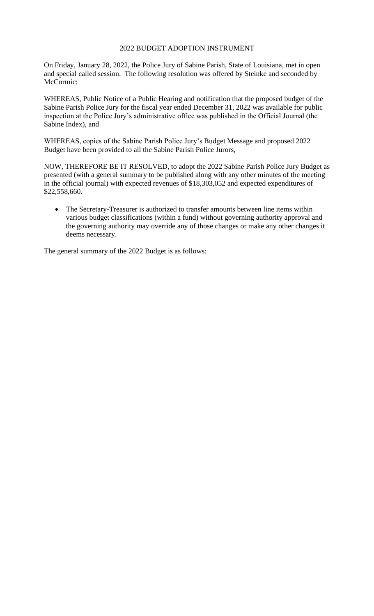# 2022 BUDGET ADOPTION INSTRUMENT

On Friday, January 28, 2022, the Police Jury of Sabine Parish, State of Louisiana, met in open and special called session. The following resolution was offered by Steinke and seconded by McCormic:

WHEREAS, Public Notice of a Public Hearing and notification that the proposed budget of the Sabine Parish Police Jury for the fiscal year ended December 31, 2022 was available for public inspection at the Police Jury's administrative office was published in the Official Journal (the Sabine Index), and

WHEREAS, copies of the Sabine Parish Police Jury's Budget Message and proposed 2022 Budget have been provided to all the Sabine Parish Police Jurors,

NOW, THEREFORE BE IT RESOLVED, to adopt the 2022 Sabine Parish Police Jury Budget as presented (with a general summary to be published along with any other minutes of the meeting in the official journal) with expected revenues of \$18,303,052 and expected expenditures of \$22,558,660.

• The Secretary-Treasurer is authorized to transfer amounts between line items within various budget classifications (within a fund) without governing authority approval and the governing authority may override any of those changes or make any other changes it deems necessary.

The general summary of the 2022 Budget is as follows: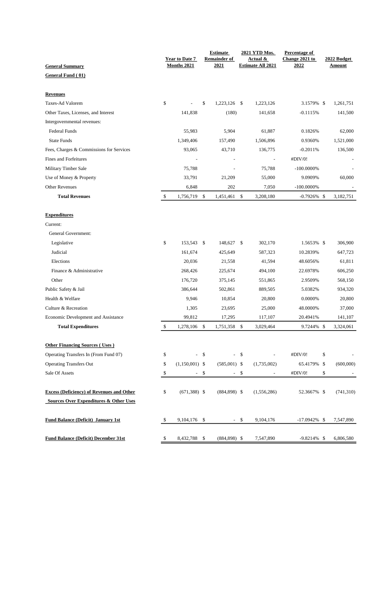|                                                   | <b>Year to Date 7</b> |                    |               | <b>Estimate</b><br><b>Remainder of</b> |                    | 2021 YTD Mos.<br>Actual & | Percentage of<br>Change 2021 to |    | 2022 Budget        |  |  |
|---------------------------------------------------|-----------------------|--------------------|---------------|----------------------------------------|--------------------|---------------------------|---------------------------------|----|--------------------|--|--|
| <b>General Summary</b>                            |                       | Months 2021        |               | 2021                                   |                    | <b>Estimate All 2021</b>  | 2022                            |    | Amount             |  |  |
| General Fund (01)                                 |                       |                    |               |                                        |                    |                           |                                 |    |                    |  |  |
|                                                   |                       |                    |               |                                        |                    |                           |                                 |    |                    |  |  |
| <b>Revenues</b>                                   |                       |                    |               |                                        |                    |                           |                                 |    |                    |  |  |
| Taxes-Ad Valorem                                  | \$                    |                    | \$            | 1,223,126 \$                           |                    | 1,223,126                 | 3.1579% \$                      |    | 1,261,751          |  |  |
| Other Taxes, Licenses, and Interest               |                       | 141,838            |               | (180)                                  |                    | 141,658                   | $-0.1115%$                      |    | 141,500            |  |  |
| Intergovernmental revenues:                       |                       |                    |               |                                        |                    |                           |                                 |    |                    |  |  |
| Federal Funds                                     |                       | 55,983             |               | 5,904                                  |                    | 61,887                    | 0.1826%                         |    | 62,000             |  |  |
| <b>State Funds</b>                                |                       | 1,349,406          |               | 157,490                                |                    | 1,506,896                 | 0.9360%                         |    | 1,521,000          |  |  |
| Fees, Charges & Commissions for Services          |                       | 93,065             |               | 43,710                                 |                    | 136,775                   | $-0.2011%$                      |    | 136,500            |  |  |
| <b>Fines and Forfeitures</b>                      |                       |                    |               |                                        |                    | $\overline{\phantom{a}}$  | #DIV/0!                         |    |                    |  |  |
| Military Timber Sale                              |                       | 75,788             |               |                                        |                    | 75,788                    | $-100.0000\%$                   |    |                    |  |  |
| Use of Money & Property                           |                       | 33,791             |               | 21,209                                 |                    | 55,000                    | 9.0909%                         |    | 60,000             |  |  |
| <b>Other Revenues</b>                             |                       | 6,848              |               | 202                                    |                    | 7,050                     | $-100.0000\%$                   |    |                    |  |  |
| <b>Total Revenues</b>                             | \$                    | 1,756,719          | $\mathbb{S}$  | 1,451,461                              | $\mathbb{S}$       | 3,208,180                 | $-0.7926\%$ \$                  |    | 3,182,751          |  |  |
|                                                   |                       |                    |               |                                        |                    |                           |                                 |    |                    |  |  |
| <b>Expenditures</b>                               |                       |                    |               |                                        |                    |                           |                                 |    |                    |  |  |
| Current:<br>General Government:                   |                       |                    |               |                                        |                    |                           |                                 |    |                    |  |  |
|                                                   | \$                    | 153,543 \$         |               | 148,627 \$                             |                    |                           | 1.5653% \$                      |    | 306,900            |  |  |
| Legislative<br>Judicial                           |                       | 161,674            |               |                                        |                    | 302,170                   |                                 |    |                    |  |  |
| Elections                                         |                       | 20,036             |               | 425,649                                |                    | 587,323                   | 10.2839%                        |    | 647,723<br>61,811  |  |  |
|                                                   |                       |                    |               | 21,558                                 |                    | 41,594                    | 48.6056%                        |    |                    |  |  |
| Finance & Administrative                          |                       | 268,426            |               | 225,674                                |                    | 494,100                   | 22.6978%                        |    | 606,250            |  |  |
| Other                                             |                       | 176,720<br>386,644 |               | 375,145                                |                    | 551,865                   | 2.9509%                         |    | 568,150<br>934,320 |  |  |
| Public Safety & Jail                              |                       |                    |               | 502,861                                |                    | 889,505                   | 5.0382%                         |    |                    |  |  |
| Health & Welfare                                  |                       | 9.946              |               | 10,854                                 |                    | 20,800                    | 0.0000%                         |    | 20,800             |  |  |
| Culture & Recreation                              |                       | 1,305              |               | 23,695                                 |                    | 25,000                    | 48.0000%                        |    | 37,000             |  |  |
| Economic Development and Assistance               |                       | 99,812             |               | 17,295                                 |                    | 117,107                   | 20.4941%                        |    | 141,107            |  |  |
| <b>Total Expenditures</b>                         | \$                    | 1,278,106          | \$            | 1,751,358                              | \$                 | 3,029,464                 | 9.7244%                         | \$ | 3,324,061          |  |  |
| <b>Other Financing Sources (Uses)</b>             |                       |                    |               |                                        |                    |                           |                                 |    |                    |  |  |
| Operating Transfers In (From Fund 07)             | \$                    | ä,                 | $\mathcal{S}$ | $\frac{1}{2}$                          | $\mathbf{\hat{S}}$ |                           | #DIV/0!                         | \$ |                    |  |  |
| <b>Operating Transfers Out</b>                    | \$                    | $(1,150,001)$ \$   |               | $(585,001)$ \$                         |                    | (1,735,002)               | 65.4179% \$                     |    | (600,000)          |  |  |
| Sale Of Assets                                    | \$                    | $\frac{1}{2}$      | \$            | $\overline{\phantom{a}}$               | \$                 |                           | #DIV/0!                         | \$ |                    |  |  |
|                                                   |                       |                    |               |                                        |                    |                           |                                 |    |                    |  |  |
| <b>Excess (Deficiency) of Revenues and Other</b>  | \$                    | $(671,388)$ \$     |               | $(884,898)$ \$                         |                    | (1,556,286)               | 52.3667% \$                     |    | (741, 310)         |  |  |
| <b>Sources Over Expenditures &amp; Other Uses</b> |                       |                    |               |                                        |                    |                           |                                 |    |                    |  |  |
| <b>Fund Balance (Deficit) January 1st</b>         | \$                    | 9,104,176 \$       |               | $\sim$                                 | \$                 | 9,104,176                 | $-17.0942\%$ \$                 |    | 7,547,890          |  |  |
|                                                   |                       |                    |               |                                        |                    |                           |                                 |    |                    |  |  |
| <b>Fund Balance (Deficit) December 31st</b>       | \$                    | 8,432,788          | \$            | $(884,898)$ \$                         |                    | 7,547,890                 | $-9.8214\%$ \$                  |    | 6,806,580          |  |  |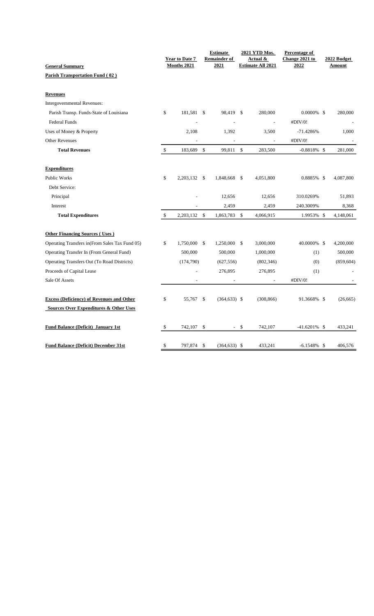|                                                                  |      | <b>Year to Date 7</b> |               | <b>Estimate</b><br><b>Remainder of</b><br>2021 |      | 2021 YTD Mos.<br><b>Actual &amp;</b><br><b>Estimate All 2021</b> | Percentage of<br>Change 2021 to | 2022 Budget   |
|------------------------------------------------------------------|------|-----------------------|---------------|------------------------------------------------|------|------------------------------------------------------------------|---------------------------------|---------------|
| <b>General Summary</b><br><b>Parish Transportation Fund (02)</b> |      | Months 2021           |               |                                                |      |                                                                  | 2022                            | <b>Amount</b> |
| <b>Revenues</b>                                                  |      |                       |               |                                                |      |                                                                  |                                 |               |
| Intergovernmental Revenues:                                      |      |                       |               |                                                |      |                                                                  |                                 |               |
| Parish Transp. Funds-State of Louisiana                          | \$   | 181,581 \$            |               | 98,419 \$                                      |      | 280,000                                                          | $0.0000\%$ \$                   | 280,000       |
| <b>Federal Funds</b>                                             |      |                       |               |                                                |      | $\overline{a}$                                                   | #DIV/0!                         |               |
| Uses of Money & Property                                         |      | 2,108                 |               | 1,392                                          |      | 3,500                                                            | $-71.4286%$                     | 1,000         |
| <b>Other Revenues</b>                                            |      |                       |               |                                                |      |                                                                  | #DIV/0!                         |               |
| <b>Total Revenues</b>                                            | $\$$ | 183,689               | $\mathcal{S}$ | 99,811 \$                                      |      | 283,500                                                          | $-0.8818\%$ \$                  | 281,000       |
| <b>Expenditures</b>                                              |      |                       |               |                                                |      |                                                                  |                                 |               |
| <b>Public Works</b>                                              | \$   | 2,203,132 \$          |               | 1,848,668                                      | -S   | 4,051,800                                                        | 0.8885% \$                      | 4,087,800     |
| Debt Service:                                                    |      |                       |               |                                                |      |                                                                  |                                 |               |
| Principal                                                        |      |                       |               | 12,656                                         |      | 12,656                                                           | 310.0269%                       | 51,893        |
| Interest                                                         |      |                       |               | 2,459                                          |      | 2,459                                                            | 240.3009%                       | 8,368         |
| <b>Total Expenditures</b>                                        | \$   | 2, 203, 132           | \$            | 1,863,783                                      | \$   | 4,066,915                                                        | 1.9953% \$                      | 4,148,061     |
| <b>Other Financing Sources (Uses)</b>                            |      |                       |               |                                                |      |                                                                  |                                 |               |
| Operating Transfers in (From Sales Tax Fund 05)                  | \$   | 1,750,000 \$          |               | 1,250,000 \$                                   |      | 3,000,000                                                        | 40.0000% \$                     | 4,200,000     |
| Operating Transfer In (From General Fund)                        |      | 500,000               |               | 500,000                                        |      | 1,000,000                                                        | (1)                             | 500,000       |
| Operating Transfers Out (To Road Districts)                      |      | (174,790)             |               | (627, 556)                                     |      | (802, 346)                                                       | (0)                             | (859, 604)    |
| Proceeds of Capital Lease                                        |      |                       |               | 276,895                                        |      | 276,895                                                          | (1)                             |               |
| Sale Of Assets                                                   |      |                       |               |                                                |      |                                                                  | #DIV/0!                         |               |
| <b>Excess (Deficiency) of Revenues and Other</b>                 | \$   | 55,767 \$             |               | $(364, 633)$ \$                                |      | (308, 866)                                                       | 91.3668% \$                     | (26, 665)     |
| <b>Sources Over Expenditures &amp; Other Uses</b>                |      |                       |               |                                                |      |                                                                  |                                 |               |
| <b>Fund Balance (Deficit) January 1st</b>                        | \$   | 742,107               | -\$           |                                                | - \$ | 742,107                                                          | $-41.6201\%$ \$                 | 433,241       |
| <b>Fund Balance (Deficit) December 31st</b>                      | \$   | 797,874               | \$            | $(364, 633)$ \$                                |      | 433,241                                                          | $-6.1548\%$ \$                  | 406,576       |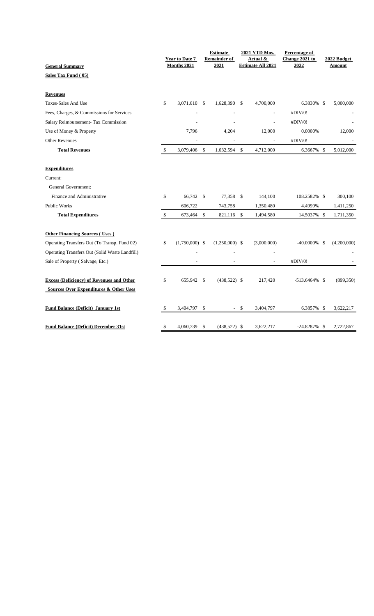|                                                  | <b>Year to Date 7</b>  |               | <b>Estimate</b><br><b>Remainder of</b> |               | 2021 YTD Mos.<br>Actual & | Percentage of<br>Change 2021 to |  | 2022 Budget   |  |  |
|--------------------------------------------------|------------------------|---------------|----------------------------------------|---------------|---------------------------|---------------------------------|--|---------------|--|--|
| <b>General Summary</b>                           | Months 2021            |               | 2021                                   |               | <b>Estimate All 2021</b>  | 2022                            |  | <b>Amount</b> |  |  |
| Sales Tax Fund (05)                              |                        |               |                                        |               |                           |                                 |  |               |  |  |
| <b>Revenues</b>                                  |                        |               |                                        |               |                           |                                 |  |               |  |  |
| Taxes-Sales And Use                              | \$<br>3,071,610 \$     |               | 1,628,390 \$                           |               | 4,700,000                 | 6.3830% \$                      |  | 5,000,000     |  |  |
| Fees, Charges, & Commissions for Services        |                        |               |                                        |               |                           | #DIV/0!                         |  |               |  |  |
| Salary Reimbursement- Tax Commission             |                        |               |                                        |               |                           | #DIV/0!                         |  |               |  |  |
| Use of Money & Property                          | 7,796                  |               | 4,204                                  |               | 12,000                    | 0.0000%                         |  | 12,000        |  |  |
| Other Revenues                                   |                        |               |                                        |               |                           | #DIV/0!                         |  |               |  |  |
| <b>Total Revenues</b>                            | \$<br>3,079,406        | $\mathcal{S}$ | 1,632,594                              | $\mathbb{S}$  | 4,712,000                 | 6.3667% \$                      |  | 5,012,000     |  |  |
| <b>Expenditures</b>                              |                        |               |                                        |               |                           |                                 |  |               |  |  |
| Current:                                         |                        |               |                                        |               |                           |                                 |  |               |  |  |
| <b>General Government:</b>                       |                        |               |                                        |               |                           |                                 |  |               |  |  |
| Finance and Administrative                       | \$<br>66,742           | \$            | 77,358                                 | $\mathcal{S}$ | 144,100                   | 108.2582% \$                    |  | 300,100       |  |  |
| <b>Public Works</b>                              | 606,722                |               | 743,758                                |               | 1,350,480                 | 4.4999%                         |  | 1,411,250     |  |  |
| <b>Total Expenditures</b>                        | \$<br>673,464          | \$            | 821,116                                | $\mathbb{S}$  | 1,494,580                 | 14.5037% \$                     |  | 1,711,350     |  |  |
| <b>Other Financing Sources (Uses)</b>            |                        |               |                                        |               |                           |                                 |  |               |  |  |
| Operating Transfers Out (To Transp. Fund 02)     | \$<br>$(1,750,000)$ \$ |               | $(1,250,000)$ \$                       |               | (3,000,000)               | $-40.0000\%$ \$                 |  | (4,200,000)   |  |  |
| Operating Transfers Out (Solid Waste Landfill)   |                        |               |                                        |               |                           |                                 |  |               |  |  |
| Sale of Property (Salvage, Etc.)                 | ٠                      |               | $\overline{\phantom{a}}$               |               | $\sim$                    | #DIV/0!                         |  |               |  |  |
| <b>Excess (Deficiency) of Revenues and Other</b> | \$<br>655,942 \$       |               | $(438,522)$ \$                         |               | 217,420                   | $-513.6464\%$ \$                |  | (899, 350)    |  |  |
| Sources Over Expenditures & Other Uses           |                        |               |                                        |               |                           |                                 |  |               |  |  |
| <b>Fund Balance (Deficit) January 1st</b>        | \$<br>3,404,797        | \$            |                                        | -\$           | 3,404,797                 | 6.3857% \$                      |  | 3,622,217     |  |  |
| <b>Fund Balance (Deficit) December 31st</b>      | \$<br>4,060,739        | \$            | $(438,522)$ \$                         |               | 3,622,217                 | $-24.8287\%$ \$                 |  | 2,722,867     |  |  |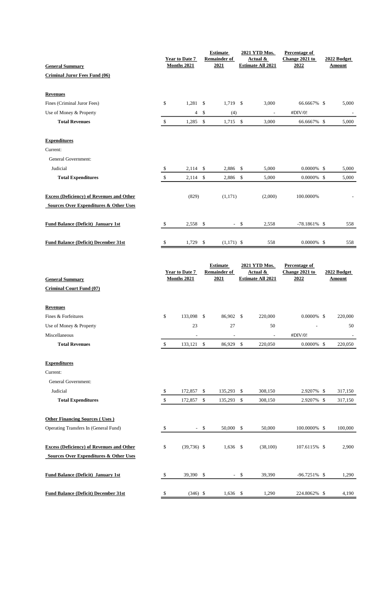| <b>General Summary</b>                            |              | <b>Year to Date 7</b><br><b>Months 2021</b> |               | <b>Estimate</b><br><b>Remainder of</b><br>2021 | 2021 YTD Mos.<br>Actual &<br><b>Estimate All 2021</b> |                                                       | Percentage of<br>Change 2021 to<br>2022 |  | 2022 Budget<br>Amount |  |
|---------------------------------------------------|--------------|---------------------------------------------|---------------|------------------------------------------------|-------------------------------------------------------|-------------------------------------------------------|-----------------------------------------|--|-----------------------|--|
| <b>Criminal Juror Fees Fund (06)</b>              |              |                                             |               |                                                |                                                       |                                                       |                                         |  |                       |  |
|                                                   |              |                                             |               |                                                |                                                       |                                                       |                                         |  |                       |  |
| <b>Revenues</b>                                   |              |                                             |               |                                                |                                                       |                                                       |                                         |  |                       |  |
| Fines (Criminal Juror Fees)                       | \$           | $1,281$ \$                                  |               | 1,719                                          | <sup>\$</sup>                                         | 3,000                                                 | 66.6667% \$                             |  | 5,000                 |  |
| Use of Money & Property                           |              | 4                                           | \$            | (4)                                            |                                                       | $\overline{\phantom{a}}$                              | #DIV/0!                                 |  |                       |  |
| <b>Total Revenues</b>                             | $\mathbb{S}$ | 1,285                                       | \$            | 1,715                                          | $\mathbb{S}$                                          | 3,000                                                 | 66.6667% \$                             |  | 5,000                 |  |
| <b>Expenditures</b>                               |              |                                             |               |                                                |                                                       |                                                       |                                         |  |                       |  |
| Current:                                          |              |                                             |               |                                                |                                                       |                                                       |                                         |  |                       |  |
| General Government:                               |              |                                             |               |                                                |                                                       |                                                       |                                         |  |                       |  |
| Judicial                                          | \$           | 2,114                                       | \$            | 2,886                                          | \$                                                    | 5,000                                                 | $0.0000\%$ \$                           |  | 5,000                 |  |
| <b>Total Expenditures</b>                         | \$           | $2,114$ \$                                  |               | 2,886                                          | $\mathbb{S}$                                          | 5,000                                                 | $0.0000\%$ \$                           |  | 5,000                 |  |
| <b>Excess (Deficiency) of Revenues and Other</b>  |              | (829)                                       |               | (1, 171)                                       |                                                       | (2,000)                                               | 100.0000%                               |  |                       |  |
| <b>Sources Over Expenditures &amp; Other Uses</b> |              |                                             |               |                                                |                                                       |                                                       |                                         |  |                       |  |
|                                                   |              |                                             |               |                                                |                                                       |                                                       |                                         |  |                       |  |
| <b>Fund Balance (Deficit) January 1st</b>         | \$           | 2,558 \$                                    |               |                                                | $-$ \$                                                | 2,558                                                 | $-78.1861\%$ \$                         |  | 558                   |  |
|                                                   |              |                                             |               |                                                |                                                       |                                                       |                                         |  |                       |  |
| <b>Fund Balance (Deficit) December 31st</b>       | \$           | 1,729                                       | $\sqrt[6]{3}$ | $(1,171)$ \$                                   |                                                       | 558                                                   | $0.0000\%$ \$                           |  | 558                   |  |
|                                                   |              | <b>Year to Date 7</b><br>Months 2021        |               | <b>Estimate</b><br><b>Remainder of</b><br>2021 |                                                       | 2021 YTD Mos.<br>Actual &<br><b>Estimate All 2021</b> | Percentage of<br>Change 2021 to<br>2022 |  | 2022 Budget<br>Amount |  |
| <b>General Summary</b>                            |              |                                             |               |                                                |                                                       |                                                       |                                         |  |                       |  |
| <b>Criminal Court Fund (07)</b>                   |              |                                             |               |                                                |                                                       |                                                       |                                         |  |                       |  |
| <b>Revenues</b>                                   |              |                                             |               |                                                |                                                       |                                                       |                                         |  |                       |  |
| Fines & Forfeitures                               | \$           | 133,098 \$                                  |               | 86,902 \$                                      |                                                       | 220,000                                               | $0.0000\%$ \$                           |  | 220,000               |  |
| Use of Money & Property                           |              | 23                                          |               | $27\,$                                         |                                                       | 50                                                    | $\overline{a}$                          |  | $50\,$                |  |
| Miscellaneous                                     |              |                                             |               |                                                |                                                       |                                                       |                                         |  |                       |  |
| <b>Total Revenues</b>                             | \$           |                                             |               |                                                |                                                       |                                                       | #DIV/0!                                 |  |                       |  |
|                                                   |              | 133,121 \$                                  |               | 86,929                                         | \$                                                    | 220,050                                               | $0.0000\%$ \$                           |  | 220,050               |  |
|                                                   |              |                                             |               |                                                |                                                       |                                                       |                                         |  |                       |  |
| <b>Expenditures</b>                               |              |                                             |               |                                                |                                                       |                                                       |                                         |  |                       |  |
| Current:                                          |              |                                             |               |                                                |                                                       |                                                       |                                         |  |                       |  |
| General Government:                               |              |                                             |               |                                                |                                                       |                                                       |                                         |  |                       |  |
| Judicial<br><b>Total Expenditures</b>             | \$<br>\$     | 172,857<br>172,857                          | \$<br>\$      | 135,293<br>135,293                             | \$<br>$\mathbb{S}$                                    | 308,150<br>308,150                                    | 2.9207% \$<br>2.9207% \$                |  | 317,150<br>317,150    |  |
|                                                   |              |                                             |               |                                                |                                                       |                                                       |                                         |  |                       |  |
| <b>Other Financing Sources (Uses)</b>             |              |                                             |               |                                                |                                                       |                                                       |                                         |  |                       |  |
| Operating Transfers In (General Fund)             | -\$          |                                             | $-$ \$        | 50,000                                         | \$                                                    | 50,000                                                | 100.0000% \$                            |  | 100,000               |  |
| <b>Excess (Deficiency) of Revenues and Other</b>  | \$           | $(39,736)$ \$                               |               | $1,636$ \$                                     |                                                       | (38, 100)                                             | 107.6115% \$                            |  | 2,900                 |  |
| <b>Sources Over Expenditures &amp; Other Uses</b> |              |                                             |               |                                                |                                                       |                                                       |                                         |  |                       |  |
|                                                   |              |                                             |               |                                                |                                                       |                                                       |                                         |  |                       |  |
| <b>Fund Balance (Deficit) January 1st</b>         | \$           | 39,390 \$                                   |               |                                                | $-$ \$                                                | 39,390                                                | -96.7251% \$                            |  | 1,290                 |  |
| <b>Fund Balance (Deficit) December 31st</b>       | \$           | $(346)$ \$                                  |               | $1,636$ \$                                     |                                                       | 1,290                                                 | 224.8062% \$                            |  | 4,190                 |  |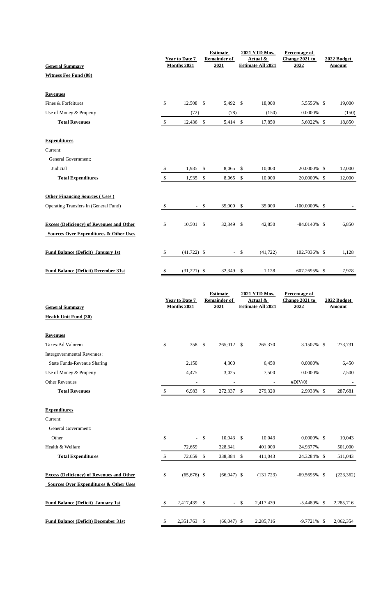| <b>General Summary</b>                            |              | <b>Year to Date 7</b><br>Months 2021 |        | <b>Estimate</b><br><b>Remainder of</b><br>2021 |              | 2021 YTD Mos.<br>Actual &<br><b>Estimate All 2021</b> | Percentage of<br>Change 2021 to<br>2022        | 2022 Budget<br>Amount |                              |  |
|---------------------------------------------------|--------------|--------------------------------------|--------|------------------------------------------------|--------------|-------------------------------------------------------|------------------------------------------------|-----------------------|------------------------------|--|
| <b>Witness Fee Fund (08)</b>                      |              |                                      |        |                                                |              |                                                       |                                                |                       |                              |  |
| <b>Revenues</b>                                   |              |                                      |        |                                                |              |                                                       |                                                |                       |                              |  |
| Fines & Forfeitures                               | \$           | 12,508 \$                            |        | 5,492                                          | \$           | 18,000                                                | 5.5556% \$                                     |                       | 19,000                       |  |
| Use of Money & Property                           |              | (72)                                 |        | (78)                                           |              | (150)                                                 | 0.0000%                                        |                       | (150)                        |  |
| <b>Total Revenues</b>                             | \$           | 12,436 \$                            |        | 5,414 \$                                       |              | 17,850                                                | 5.6022% \$                                     |                       | 18,850                       |  |
| <b>Expenditures</b>                               |              |                                      |        |                                                |              |                                                       |                                                |                       |                              |  |
| Current:                                          |              |                                      |        |                                                |              |                                                       |                                                |                       |                              |  |
| General Government:                               |              |                                      |        |                                                |              |                                                       |                                                |                       |                              |  |
| Judicial                                          | \$           | 1,935                                | \$     | 8,065                                          | \$           | 10,000                                                | 20.0000% \$                                    |                       | 12,000                       |  |
| <b>Total Expenditures</b>                         | \$           | 1,935                                | \$     | 8,065                                          | \$           | 10,000                                                | 20.0000% \$                                    |                       | 12,000                       |  |
| <b>Other Financing Sources (Uses)</b>             |              |                                      |        |                                                |              |                                                       |                                                |                       |                              |  |
| Operating Transfers In (General Fund)             | \$           |                                      | $-$ \$ | 35,000                                         | \$           | 35,000                                                | $-100.0000\%$ \$                               |                       |                              |  |
| <b>Excess (Deficiency) of Revenues and Other</b>  | \$           | 10,501 \$                            |        | 32,349                                         | $\mathbb{S}$ | 42,850                                                | $-84.0140\%$ \$                                |                       | 6,850                        |  |
| <b>Sources Over Expenditures &amp; Other Uses</b> |              |                                      |        |                                                |              |                                                       |                                                |                       |                              |  |
| <b>Fund Balance (Deficit) January 1st</b>         | -\$          | $(41,722)$ \$                        |        |                                                | $-$ \$       | (41, 722)                                             | 102.7036% \$                                   |                       | 1,128                        |  |
| <b>Fund Balance (Deficit) December 31st</b>       | -\$          | $(31,221)$ \$                        |        | 32,349                                         | \$           | 1,128                                                 | 607.2695% \$                                   |                       | 7,978                        |  |
| <b>General Summary</b>                            |              | <b>Year to Date 7</b><br>Months 2021 |        | <b>Estimate</b><br><b>Remainder of</b><br>2021 |              | 2021 YTD Mos.<br>Actual &<br><b>Estimate All 2021</b> | <b>Percentage of</b><br>Change 2021 to<br>2022 |                       | 2022 Budget<br><u>Amount</u> |  |
| <b>Health Unit Fund (30)</b>                      |              |                                      |        |                                                |              |                                                       |                                                |                       |                              |  |
| <b>Revenues</b>                                   |              |                                      |        |                                                |              |                                                       |                                                |                       |                              |  |
| Taxes-Ad Valorem                                  | \$           | 358 \$                               |        | 265,012 \$                                     |              | 265,370                                               | 3.1507% \$                                     |                       | 273,731                      |  |
| Intergovernmental Revenues:                       |              |                                      |        |                                                |              |                                                       |                                                |                       |                              |  |
| <b>State Funds-Revenue Sharing</b>                |              | 2,150                                |        | 4,300                                          |              | 6,450                                                 | 0.0000%                                        |                       | 6,450                        |  |
| Use of Money & Property                           |              | 4,475                                |        | 3,025                                          |              | 7,500                                                 | 0.0000%                                        |                       | 7,500                        |  |
| <b>Other Revenues</b>                             |              |                                      |        |                                                |              |                                                       | #DIV/0!                                        |                       |                              |  |
| <b>Total Revenues</b>                             | $\mathbb{S}$ | 6,983 \$                             |        | 272,337 \$                                     |              | 279,320                                               | 2.9933% \$                                     |                       | 287,681                      |  |
| <b>Expenditures</b>                               |              |                                      |        |                                                |              |                                                       |                                                |                       |                              |  |
| Current:                                          |              |                                      |        |                                                |              |                                                       |                                                |                       |                              |  |
| General Government:                               |              |                                      |        |                                                |              |                                                       |                                                |                       |                              |  |
| Other                                             | \$           | $\sim$                               | \$     | 10,043                                         | $\mathbb{S}$ | 10,043                                                | $0.0000\%$ \$                                  |                       | 10,043                       |  |
| Health & Welfare                                  |              | 72,659                               |        | 328,341                                        |              | 401,000                                               | 24.9377%                                       |                       | 501,000                      |  |
| <b>Total Expenditures</b>                         | \$           | 72,659                               | \$     | 338,384                                        | $\mathbb{S}$ | 411,043                                               | 24.3284% \$                                    |                       | 511,043                      |  |
| <b>Excess (Deficiency) of Revenues and Other</b>  | \$           | $(65,676)$ \$                        |        | $(66,047)$ \$                                  |              | (131, 723)                                            | $-69.5695\%$ \$                                |                       | (223, 362)                   |  |
| <b>Sources Over Expenditures &amp; Other Uses</b> |              |                                      |        |                                                |              |                                                       |                                                |                       |                              |  |
|                                                   |              |                                      |        |                                                |              |                                                       |                                                |                       |                              |  |
| <b>Fund Balance (Deficit) January 1st</b>         | \$           | 2,417,439 \$                         |        |                                                | $-5$         | 2,417,439                                             | $-5.4489\%$ \$                                 |                       | 2,285,716                    |  |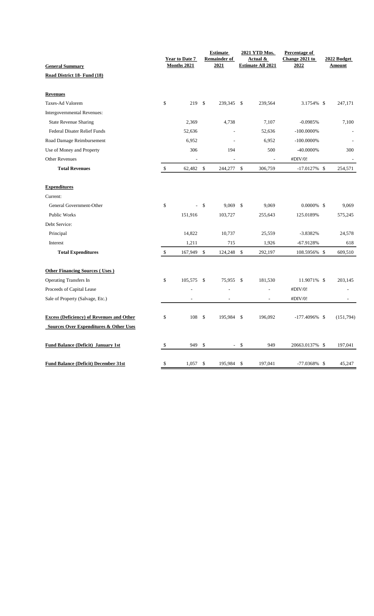| <b>General Summary</b>                            | <b>Year to Date 7</b><br><b>Months 2021</b> |               | <b>Estimate</b><br><b>Remainder of</b><br>2021 |               | 2021 YTD Mos.<br>Actual &<br><b>Estimate All 2021</b> | Percentage of<br>Change 2021 to<br>2022 | 2022 Budget<br><b>Amount</b> |
|---------------------------------------------------|---------------------------------------------|---------------|------------------------------------------------|---------------|-------------------------------------------------------|-----------------------------------------|------------------------------|
| Road District 18- Fund (18)                       |                                             |               |                                                |               |                                                       |                                         |                              |
|                                                   |                                             |               |                                                |               |                                                       |                                         |                              |
| <b>Revenues</b>                                   |                                             |               |                                                |               |                                                       |                                         |                              |
| Taxes-Ad Valorem                                  | \$<br>219S                                  |               | 239,345 \$                                     |               | 239,564                                               | 3.1754% \$                              | 247,171                      |
| Intergovernmental Revenues:                       |                                             |               |                                                |               |                                                       |                                         |                              |
| <b>State Revenue Sharing</b>                      | 2,369                                       |               | 4,738                                          |               | 7,107                                                 | $-0.0985%$                              | 7,100                        |
| <b>Federal Disater Relief Funds</b>               | 52,636                                      |               |                                                |               | 52,636                                                | $-100.0000\%$                           |                              |
| Road Damage Reimbursement                         | 6,952                                       |               |                                                |               | 6,952                                                 | $-100.0000\%$                           |                              |
| Use of Money and Property                         | 306                                         |               | 194                                            |               | 500                                                   | $-40.0000\%$                            | 300                          |
| <b>Other Revenues</b>                             | L,                                          |               |                                                |               |                                                       | #DIV/0!                                 |                              |
| <b>Total Revenues</b>                             | \$<br>62,482                                | $\mathcal{S}$ | 244,277                                        | $\mathbb{S}$  | 306,759                                               | $-17.0127\%$ \$                         | 254,571                      |
| <b>Expenditures</b>                               |                                             |               |                                                |               |                                                       |                                         |                              |
| Current:                                          |                                             |               |                                                |               |                                                       |                                         |                              |
| General Government-Other                          | \$                                          | \$            | 9,069                                          | $\mathcal{S}$ | 9,069                                                 | $0.0000\%$ \$                           | 9,069                        |
| Public Works                                      | 151,916                                     |               | 103,727                                        |               | 255,643                                               | 125.0189%                               | 575,245                      |
| Debt Service:                                     |                                             |               |                                                |               |                                                       |                                         |                              |
| Principal                                         | 14,822                                      |               | 10,737                                         |               | 25,559                                                | $-3.8382%$                              | 24,578                       |
| Interest                                          | 1,211                                       |               | 715                                            |               | 1,926                                                 | $-67.9128%$                             | 618                          |
| <b>Total Expenditures</b>                         | \$<br>167,949                               | \$            | 124,248                                        | \$            | 292,197                                               | 108.5956% \$                            | 609,510                      |
| <b>Other Financing Sources (Uses)</b>             |                                             |               |                                                |               |                                                       |                                         |                              |
| <b>Operating Transfers In</b>                     | \$<br>105,575                               | \$            | 75,955                                         | \$            | 181,530                                               | 11.9071% \$                             | 203,145                      |
| Proceeds of Capital Lease                         |                                             |               |                                                |               |                                                       | #DIV/0!                                 |                              |
| Sale of Property (Salvage, Etc.)                  | $\overline{a}$                              |               |                                                |               | $\overline{a}$                                        | #DIV/0!                                 |                              |
| <b>Excess (Deficiency) of Revenues and Other</b>  | \$<br>108                                   | $\mathcal{S}$ | 195,984 \$                                     |               | 196,092                                               | $-177.4096\%$ \$                        | (151,794)                    |
| <b>Sources Over Expenditures &amp; Other Uses</b> |                                             |               |                                                |               |                                                       |                                         |                              |
|                                                   |                                             |               |                                                |               |                                                       |                                         |                              |
| <b>Fund Balance (Deficit) January 1st</b>         | \$<br>949                                   | \$            | $\sim$                                         | $\mathcal{S}$ | 949                                                   | 20663.0137% \$                          | 197,041                      |
| <b>Fund Balance (Deficit) December 31st</b>       | \$<br>1,057                                 | $\mathcal{S}$ | 195,984                                        | \$            | 197,041                                               | $-77.0368\%$ \$                         | 45,247                       |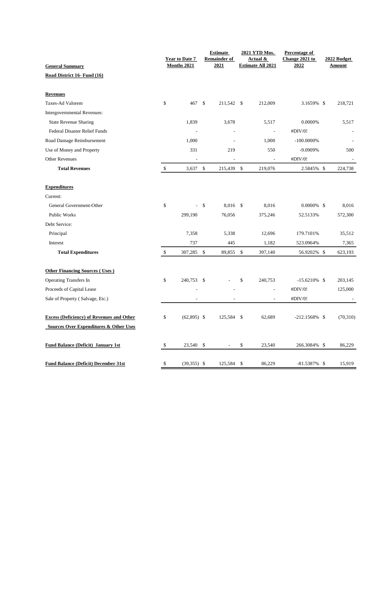| <b>General Summary</b>                            | <b>Year to Date 7</b><br><b>Months 2021</b> |               | <b>Estimate</b><br><b>Remainder of</b><br>2021 |               | 2021 YTD Mos.<br>Actual &<br><b>Estimate All 2021</b> | Percentage of<br>Change 2021 to<br>2022 | 2022 Budget<br><b>Amount</b> |
|---------------------------------------------------|---------------------------------------------|---------------|------------------------------------------------|---------------|-------------------------------------------------------|-----------------------------------------|------------------------------|
| Road District 16- Fund (16)                       |                                             |               |                                                |               |                                                       |                                         |                              |
|                                                   |                                             |               |                                                |               |                                                       |                                         |                              |
| <b>Revenues</b>                                   |                                             |               |                                                |               |                                                       |                                         |                              |
| Taxes-Ad Valorem                                  | \$<br>467 \$                                |               | 211,542 \$                                     |               | 212,009                                               | 3.1659% \$                              | 218,721                      |
| Intergovernmental Revenues:                       |                                             |               |                                                |               |                                                       |                                         |                              |
| <b>State Revenue Sharing</b>                      | 1,839                                       |               | 3,678                                          |               | 5,517                                                 | 0.0000%                                 | 5,517                        |
| Federal Disaster Relief Funds                     | $\overline{\phantom{a}}$                    |               |                                                |               | $\overline{a}$                                        | #DIV/0!                                 |                              |
| Road Damage Reimbursement                         | 1,000                                       |               |                                                |               | 1,000                                                 | $-100.0000\%$                           |                              |
| Use of Money and Property                         | 331                                         |               | 219                                            |               | 550                                                   | -9.0909%                                | 500                          |
| <b>Other Revenues</b>                             | L,                                          |               | ÷,                                             |               |                                                       | #DIV/0!                                 |                              |
| <b>Total Revenues</b>                             | \$<br>3,637                                 | $\mathcal{S}$ | 215,439                                        | $\mathbb{S}$  | 219,076                                               | 2.5845% \$                              | 224,738                      |
| <b>Expenditures</b>                               |                                             |               |                                                |               |                                                       |                                         |                              |
| Current:                                          |                                             |               |                                                |               |                                                       |                                         |                              |
| General Government-Other                          | \$<br>÷,                                    | $\mathcal{S}$ | 8,016                                          | $\mathcal{S}$ | 8,016                                                 | $0.0000\%$ \$                           | 8,016                        |
| Public Works                                      | 299,190                                     |               | 76,056                                         |               | 375,246                                               | 52.5133%                                | 572,300                      |
| Debt Service:                                     |                                             |               |                                                |               |                                                       |                                         |                              |
| Principal                                         | 7,358                                       |               | 5,338                                          |               | 12,696                                                | 179.7101%                               | 35,512                       |
| Interest                                          | 737                                         |               | 445                                            |               | 1,182                                                 | 523.0964%                               | 7,365                        |
| <b>Total Expenditures</b>                         | \$<br>307,285                               | \$            | 89,855                                         | \$            | 397,140                                               | 56.9202% \$                             | 623,193                      |
| <b>Other Financing Sources (Uses)</b>             |                                             |               |                                                |               |                                                       |                                         |                              |
| <b>Operating Transfers In</b>                     | \$<br>240,753                               | -\$           |                                                | \$            | 240,753                                               | $-15.6210\%$ \$                         | 203,145                      |
| Proceeds of Capital Lease                         |                                             |               |                                                |               | $\overline{\phantom{a}}$                              | #DIV/0!                                 | 125,000                      |
| Sale of Property (Salvage, Etc.)                  |                                             |               |                                                |               | $\overline{\phantom{a}}$                              | #DIV/0!                                 |                              |
|                                                   |                                             |               |                                                |               |                                                       |                                         |                              |
| <b>Excess (Deficiency) of Revenues and Other</b>  | \$<br>$(62,895)$ \$                         |               | 125,584                                        | -\$           | 62,689                                                | $-212.1568\%$ \$                        | (70, 310)                    |
| <b>Sources Over Expenditures &amp; Other Uses</b> |                                             |               |                                                |               |                                                       |                                         |                              |
| <b>Fund Balance (Deficit) January 1st</b>         | \$<br>23,540                                | \$            | ٠                                              | \$            | 23,540                                                | 266.3084% \$                            | 86,229                       |
|                                                   |                                             |               |                                                |               |                                                       |                                         |                              |
| <b>Fund Balance (Deficit) December 31st</b>       | \$<br>$(39,355)$ \$                         |               | 125,584                                        | \$            | 86,229                                                | $-81.5387\%$ \$                         | 15,919                       |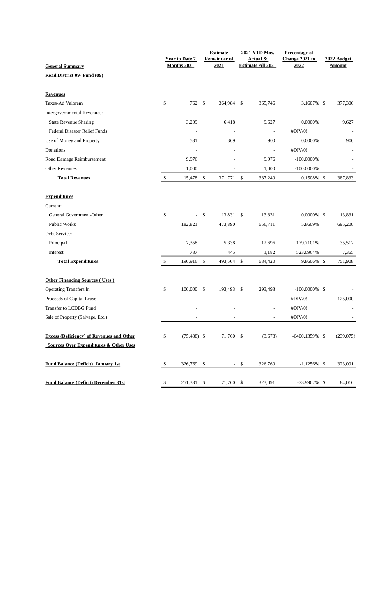| <b>General Summary</b>                            |            | <b>Year to Date 7</b><br><b>Months 2021</b> |               | <b>Estimate</b><br><b>Remainder of</b><br>2021 |               | 2021 YTD Mos.<br>Actual &<br><b>Estimate All 2021</b> | Percentage of<br>Change 2021 to<br>2022 | 2022 Budget<br><b>Amount</b> |
|---------------------------------------------------|------------|---------------------------------------------|---------------|------------------------------------------------|---------------|-------------------------------------------------------|-----------------------------------------|------------------------------|
| Road District 09- Fund (09)                       |            |                                             |               |                                                |               |                                                       |                                         |                              |
|                                                   |            |                                             |               |                                                |               |                                                       |                                         |                              |
| <b>Revenues</b>                                   |            |                                             |               |                                                |               |                                                       |                                         |                              |
| Taxes-Ad Valorem                                  | \$         | 762 \$                                      |               | 364,984                                        | \$            | 365,746                                               | 3.1607% \$                              | 377,306                      |
| Intergovernmental Revenues:                       |            |                                             |               |                                                |               |                                                       |                                         |                              |
| <b>State Revenue Sharing</b>                      |            | 3,209                                       |               | 6,418                                          |               | 9,627                                                 | 0.0000%                                 | 9,627                        |
| <b>Federal Disaster Relief Funds</b>              |            |                                             |               | $\overline{\phantom{a}}$                       |               | L,                                                    | #DIV/0!                                 |                              |
| Use of Money and Property                         |            | 531                                         |               | 369                                            |               | 900                                                   | 0.0000%                                 | 900                          |
| Donations                                         |            |                                             |               |                                                |               | L,                                                    | #DIV/0!                                 |                              |
| Road Damage Reimbursement                         |            | 9,976                                       |               |                                                |               | 9,976                                                 | $-100.0000\%$                           |                              |
| <b>Other Revenues</b>                             |            | 1,000                                       |               | $\overline{\phantom{a}}$                       |               | 1,000                                                 | $-100.0000\%$                           |                              |
| <b>Total Revenues</b>                             | \$         | 15,478                                      | $\sqrt[6]{3}$ | 371,771 \$                                     |               | 387,249                                               | $0.1508\%$ \$                           | 387,833                      |
| <b>Expenditures</b>                               |            |                                             |               |                                                |               |                                                       |                                         |                              |
| Current:                                          |            |                                             |               |                                                |               |                                                       |                                         |                              |
| General Government-Other                          | \$         | $\overline{\phantom{a}}$                    | \$            | 13,831 \$                                      |               | 13,831                                                | $0.0000\%$ \$                           | 13,831                       |
| Public Works                                      |            | 182,821                                     |               | 473,890                                        |               | 656,711                                               | 5.8609%                                 | 695,200                      |
| Debt Service:                                     |            |                                             |               |                                                |               |                                                       |                                         |                              |
| Principal                                         |            | 7,358                                       |               | 5,338                                          |               | 12,696                                                | 179.7101%                               | 35,512                       |
| Interest                                          |            | 737                                         |               | 445                                            |               | 1,182                                                 | 523.0964%                               | 7,365                        |
| <b>Total Expenditures</b>                         | $\sqrt{3}$ | 190,916 \$                                  |               | 493,504                                        | $\mathcal{S}$ | 684,420                                               | 9.8606% \$                              | 751,908                      |
| <b>Other Financing Sources (Uses)</b>             |            |                                             |               |                                                |               |                                                       |                                         |                              |
| <b>Operating Transfers In</b>                     | \$         | 100,000 \$                                  |               | 193,493 \$                                     |               | 293,493                                               | $-100.0000\%$ \$                        |                              |
| Proceeds of Capital Lease                         |            |                                             |               |                                                |               | $\overline{\phantom{a}}$                              | #DIV/0!                                 | 125,000                      |
| Transfer to LCDBG Fund                            |            |                                             |               |                                                |               | $\overline{a}$                                        | #DIV/0!                                 |                              |
| Sale of Property (Salvage, Etc.)                  |            |                                             |               |                                                |               |                                                       | #DIV/0!                                 |                              |
| <b>Excess (Deficiency) of Revenues and Other</b>  | \$         | $(75, 438)$ \$                              |               | 71,760 \$                                      |               | (3,678)                                               | $-6400.1359\%$ \$                       | (239,075)                    |
| <b>Sources Over Expenditures &amp; Other Uses</b> |            |                                             |               |                                                |               |                                                       |                                         |                              |
| <b>Fund Balance (Deficit) January 1st</b>         | \$         | 326,769 \$                                  |               |                                                | $-$ \$        | 326,769                                               | $-1.1256\%$ \$                          | 323,091                      |
| <b>Fund Balance (Deficit) December 31st</b>       | \$         | 251,331 \$                                  |               | 71,760 \$                                      |               | 323,091                                               | $-73.9962\%$ \$                         | 84,016                       |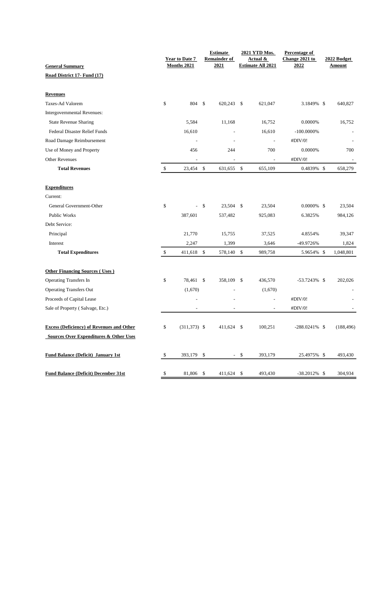| <b>General Summary</b>                            |               | Year to Date 7<br>Months 2021 |                    | <b>Estimate</b><br><b>Remainder of</b><br>2021 |        | 2021 YTD Mos.<br>Actual &<br><b>Estimate All 2021</b> | Percentage of<br>Change 2021 to<br>2022 | 2022 Budget<br><u>Amount</u> |
|---------------------------------------------------|---------------|-------------------------------|--------------------|------------------------------------------------|--------|-------------------------------------------------------|-----------------------------------------|------------------------------|
| Road District 17- Fund (17)                       |               |                               |                    |                                                |        |                                                       |                                         |                              |
|                                                   |               |                               |                    |                                                |        |                                                       |                                         |                              |
| <b>Revenues</b>                                   |               |                               |                    |                                                |        |                                                       |                                         |                              |
| Taxes-Ad Valorem                                  | \$            | 804 \$                        |                    | 620,243                                        | -\$    | 621,047                                               | 3.1849% \$                              | 640,827                      |
| Intergovernmental Revenues:                       |               |                               |                    |                                                |        |                                                       |                                         |                              |
| <b>State Revenue Sharing</b>                      |               | 5,584                         |                    | 11,168                                         |        | 16,752                                                | 0.0000%                                 | 16,752                       |
| <b>Federal Disaster Relief Funds</b>              |               | 16,610                        |                    |                                                |        | 16,610                                                | $-100.0000\%$                           |                              |
| Road Damage Reimbursement                         |               | ÷,                            |                    |                                                |        | L,                                                    | #DIV/0!                                 |                              |
| Use of Money and Property                         |               | 456                           |                    | 244                                            |        | 700                                                   | 0.0000%                                 | 700                          |
| <b>Other Revenues</b>                             |               |                               |                    |                                                |        |                                                       | #DIV/0!                                 |                              |
| <b>Total Revenues</b>                             | $\mathbf{\$}$ | 23,454 \$                     |                    | 631,655 \$                                     |        | 655,109                                               | 0.4839% \$                              | 658,279                      |
| <b>Expenditures</b>                               |               |                               |                    |                                                |        |                                                       |                                         |                              |
| Current:                                          |               |                               |                    |                                                |        |                                                       |                                         |                              |
| General Government-Other                          | \$            |                               | $\mathbf{\hat{S}}$ | 23,504 \$                                      |        | 23,504                                                | $0.0000\%$ \$                           | 23,504                       |
| <b>Public Works</b>                               |               | 387,601                       |                    | 537,482                                        |        | 925,083                                               | 6.3825%                                 | 984,126                      |
| Debt Service:                                     |               |                               |                    |                                                |        |                                                       |                                         |                              |
| Principal                                         |               | 21,770                        |                    | 15,755                                         |        | 37,525                                                | 4.8554%                                 | 39,347                       |
| Interest                                          |               | 2,247                         |                    | 1,399                                          |        | 3,646                                                 | -49.9726%                               | 1,824                        |
| <b>Total Expenditures</b>                         | \$            | 411,618 \$                    |                    | 578,140 \$                                     |        | 989,758                                               | 5.9654% \$                              | 1,048,801                    |
| <b>Other Financing Sources (Uses)</b>             |               |                               |                    |                                                |        |                                                       |                                         |                              |
| <b>Operating Transfers In</b>                     | \$            | 78,461 \$                     |                    | 358,109                                        | \$     | 436,570                                               | $-53.7243\%$ \$                         | 202,026                      |
| <b>Operating Transfers Out</b>                    |               | (1,670)                       |                    |                                                |        | (1,670)                                               |                                         |                              |
| Proceeds of Capital Lease                         |               |                               |                    |                                                |        |                                                       | #DIV/0!                                 |                              |
| Sale of Property (Salvage, Etc.)                  |               | $\overline{\phantom{a}}$      |                    | $\overline{\phantom{a}}$                       |        | $\overline{\phantom{a}}$                              | #DIV/0!                                 |                              |
| <b>Excess (Deficiency) of Revenues and Other</b>  | \$            | $(311, 373)$ \$               |                    | 411,624 \$                                     |        | 100,251                                               | $-288.0241\%$ \$                        | (188, 496)                   |
| <b>Sources Over Expenditures &amp; Other Uses</b> |               |                               |                    |                                                |        |                                                       |                                         |                              |
| <b>Fund Balance (Deficit) January 1st</b>         | \$            | 393,179 \$                    |                    |                                                | $-$ \$ | 393,179                                               | 25.4975% \$                             | 493,430                      |
| <b>Fund Balance (Deficit) December 31st</b>       | \$            | 81,806 \$                     |                    | 411,624 \$                                     |        | 493,430                                               | $-38.2012\%$ \$                         | 304,934                      |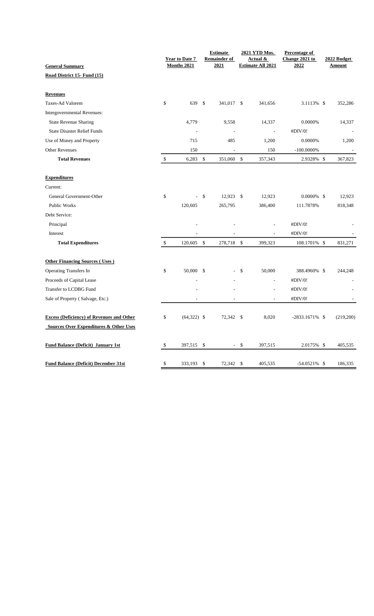| <b>General Summary</b>                            |              | <b>Year to Date 7</b><br>Months 2021 |               | <b>Estimate</b><br><b>Remainder of</b><br>2021 |               | 2021 YTD Mos.<br>Actual &<br><b>Estimate All 2021</b> | Percentage of<br>Change 2021 to<br>2022 |      | 2022 Budget<br><b>Amount</b> |
|---------------------------------------------------|--------------|--------------------------------------|---------------|------------------------------------------------|---------------|-------------------------------------------------------|-----------------------------------------|------|------------------------------|
|                                                   |              |                                      |               |                                                |               |                                                       |                                         |      |                              |
| Road District 15- Fund (15)                       |              |                                      |               |                                                |               |                                                       |                                         |      |                              |
| <b>Revenues</b>                                   |              |                                      |               |                                                |               |                                                       |                                         |      |                              |
| Taxes-Ad Valorem                                  | \$           | 639                                  | \$            | 341,017 \$                                     |               | 341,656                                               | 3.1113% \$                              |      | 352,286                      |
| Intergovernmental Revenues:                       |              |                                      |               |                                                |               |                                                       |                                         |      |                              |
| <b>State Revenue Sharing</b>                      |              | 4,779                                |               | 9,558                                          |               | 14,337                                                | 0.0000%                                 |      | 14,337                       |
| <b>State Disaster Relief Funds</b>                |              |                                      |               | ÷,                                             |               | ÷,                                                    | #DIV/0!                                 |      |                              |
| Use of Money and Property                         |              | 715                                  |               | 485                                            |               | 1,200                                                 | 0.0000%                                 |      | 1,200                        |
| <b>Other Revenues</b>                             |              | 150                                  |               | $\overline{\phantom{a}}$                       |               | 150                                                   | $-100.0000\%$                           |      |                              |
| <b>Total Revenues</b>                             | \$           | 6,283                                | $\mathbb{S}$  | 351,060                                        | \$            | 357,343                                               | 2.9328% \$                              |      | 367,823                      |
| <b>Expenditures</b>                               |              |                                      |               |                                                |               |                                                       |                                         |      |                              |
| Current:                                          |              |                                      |               |                                                |               |                                                       |                                         |      |                              |
| General Government-Other                          | \$           |                                      | \$            | 12,923                                         | -\$           | 12,923                                                | $0.0000\%$ \$                           |      | 12,923                       |
| Public Works                                      |              | 120,605                              |               | 265,795                                        |               | 386,400                                               | 111.7878%                               |      | 818,348                      |
| Debt Service:                                     |              |                                      |               |                                                |               |                                                       |                                         |      |                              |
| Principal                                         |              |                                      |               |                                                |               |                                                       | #DIV/0!                                 |      |                              |
| Interest                                          |              |                                      |               |                                                |               |                                                       | #DIV/0!                                 |      |                              |
| <b>Total Expenditures</b>                         | $\mathbb{S}$ | 120,605                              | \$            | 278,718 \$                                     |               | 399,323                                               | 108.1701% \$                            |      | 831,271                      |
| <b>Other Financing Sources (Uses)</b>             |              |                                      |               |                                                |               |                                                       |                                         |      |                              |
| Operating Transfers In                            | \$           | 50,000                               | $\mathcal{S}$ |                                                | $\mathbf{\$}$ | 50,000                                                | 388.4960%                               | - \$ | 244,248                      |
| Proceeds of Capital Lease                         |              |                                      |               |                                                |               | L,                                                    | #DIV/0!                                 |      |                              |
| Transfer to LCDBG Fund                            |              |                                      |               |                                                |               | $\overline{a}$                                        | #DIV/0!                                 |      |                              |
| Sale of Property (Salvage, Etc.)                  |              |                                      |               |                                                |               |                                                       | #DIV/0!                                 |      |                              |
|                                                   |              |                                      |               |                                                |               |                                                       |                                         |      |                              |
| <b>Excess (Deficiency) of Revenues and Other</b>  | \$           | $(64,322)$ \$                        |               | 72,342 \$                                      |               | 8,020                                                 | $-2833.1671\%$ \$                       |      | (219,200)                    |
| <b>Sources Over Expenditures &amp; Other Uses</b> |              |                                      |               |                                                |               |                                                       |                                         |      |                              |
| <b>Fund Balance (Deficit) January 1st</b>         | \$           | 397,515                              | -S            | $\sim$                                         | \$            | 397,515                                               | 2.0175% \$                              |      | 405,535                      |
|                                                   |              |                                      |               |                                                |               |                                                       |                                         |      |                              |
| <b>Fund Balance (Deficit) December 31st</b>       | \$           | 333,193                              | \$            | 72,342                                         | \$            | 405,535                                               | $-54.0521\%$ \$                         |      | 186,335                      |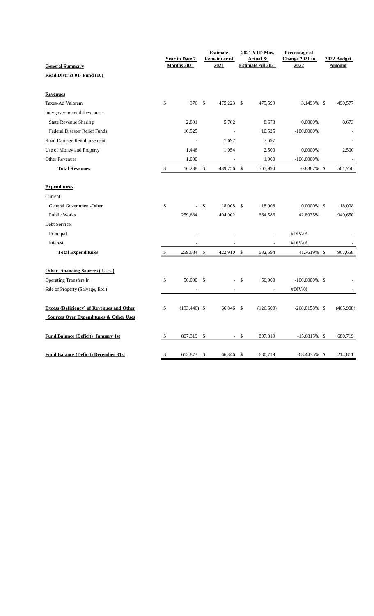|                                                                                                       | <b>Year to Date 7</b> |                    | <b>Estimate</b><br><b>Remainder of</b> |              | 2021 YTD Mos.<br>Actual & | <b>Percentage of</b><br>Change 2021 to | 2022 Budget   |
|-------------------------------------------------------------------------------------------------------|-----------------------|--------------------|----------------------------------------|--------------|---------------------------|----------------------------------------|---------------|
| <b>General Summary</b>                                                                                | Months 2021           |                    | 2021                                   |              | <b>Estimate All 2021</b>  | 2022                                   | <b>Amount</b> |
| Road District 01- Fund (10)                                                                           |                       |                    |                                        |              |                           |                                        |               |
| <b>Revenues</b>                                                                                       |                       |                    |                                        |              |                           |                                        |               |
| Taxes-Ad Valorem                                                                                      | \$<br>376 \$          |                    | 475,223 \$                             |              | 475,599                   | 3.1493% \$                             | 490,577       |
| Intergovernmental Revenues:                                                                           |                       |                    |                                        |              |                           |                                        |               |
| <b>State Revenue Sharing</b>                                                                          | 2,891                 |                    | 5,782                                  |              | 8,673                     | 0.0000%                                | 8,673         |
| <b>Federal Disaster Relief Funds</b>                                                                  | 10,525                |                    |                                        |              | 10,525                    | $-100.0000\%$                          |               |
| Road Damage Reimbursement                                                                             |                       |                    | 7,697                                  |              | 7,697                     |                                        |               |
| Use of Money and Property                                                                             | 1,446                 |                    | 1,054                                  |              | 2,500                     | 0.0000%                                | 2,500         |
| <b>Other Revenues</b>                                                                                 | 1,000                 |                    | $\overline{a}$                         |              | 1,000                     | $-100.0000\%$                          |               |
| <b>Total Revenues</b>                                                                                 | \$<br>16,238          | \$                 | 489,756                                | $\mathbb{S}$ | 505,994                   | $-0.8387\%$ \$                         | 501,750       |
| <b>Expenditures</b>                                                                                   |                       |                    |                                        |              |                           |                                        |               |
| Current:                                                                                              |                       |                    |                                        |              |                           |                                        |               |
| General Government-Other                                                                              | \$                    | $\mathbf{\hat{S}}$ | 18,008                                 | \$           | 18,008                    | $0.0000\%$ \$                          | 18,008        |
| Public Works                                                                                          | 259,684               |                    | 404,902                                |              | 664,586                   | 42.8935%                               | 949,650       |
| Debt Service:                                                                                         |                       |                    |                                        |              |                           |                                        |               |
| Principal                                                                                             |                       |                    |                                        |              |                           | #DIV/0!                                |               |
| Interest                                                                                              |                       |                    |                                        |              |                           | #DIV/0!                                |               |
| <b>Total Expenditures</b>                                                                             | \$<br>259,684         | $\mathcal{S}$      | 422,910                                | $\mathbb{S}$ | 682,594                   | 41.7619% \$                            | 967,658       |
| <b>Other Financing Sources (Uses)</b>                                                                 |                       |                    |                                        |              |                           |                                        |               |
| <b>Operating Transfers In</b>                                                                         | \$<br>50,000 \$       |                    |                                        | \$           | 50,000                    | $-100.0000\%$ \$                       |               |
| Sale of Property (Salvage, Etc.)                                                                      |                       |                    |                                        |              | $\overline{\phantom{a}}$  | #DIV/0!                                |               |
|                                                                                                       | \$                    |                    |                                        |              |                           |                                        |               |
| <b>Excess (Deficiency) of Revenues and Other</b><br><b>Sources Over Expenditures &amp; Other Uses</b> | $(193, 446)$ \$       |                    | 66,846 \$                              |              | (126,600)                 | $-268.0158\%$ \$                       | (465,908)     |
|                                                                                                       |                       |                    |                                        |              |                           |                                        |               |
| <b>Fund Balance (Deficit) January 1st</b>                                                             | \$<br>807,319         | \$                 | $\overline{\phantom{a}}$               | \$           | 807,319                   | $-15.6815\%$ \$                        | 680,719       |
| <b>Fund Balance (Deficit) December 31st</b>                                                           | \$<br>613,873         | \$                 | 66,846                                 | \$           | 680,719                   | $-68.4435\%$ \$                        | 214,811       |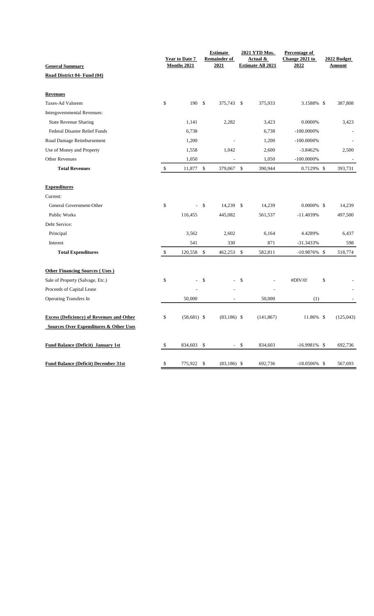|                                                   | Year to Date 7<br>Months 2021 |     | <b>Estimate</b><br><b>Remainder of</b><br>2021 |               | 2021 YTD Mos.<br>Actual &<br><b>Estimate All 2021</b> | Percentage of<br>Change 2021 to<br>2022 | 2022 Budget<br><b>Amount</b> |
|---------------------------------------------------|-------------------------------|-----|------------------------------------------------|---------------|-------------------------------------------------------|-----------------------------------------|------------------------------|
| <b>General Summary</b>                            |                               |     |                                                |               |                                                       |                                         |                              |
| Road District 04- Fund (04)                       |                               |     |                                                |               |                                                       |                                         |                              |
| <b>Revenues</b>                                   |                               |     |                                                |               |                                                       |                                         |                              |
| Taxes-Ad Valorem                                  | \$<br>190 \$                  |     | 375,743 \$                                     |               | 375,933                                               | 3.1588% \$                              | 387,808                      |
| Intergovernmental Revenues:                       |                               |     |                                                |               |                                                       |                                         |                              |
| <b>State Revenue Sharing</b>                      | 1,141                         |     | 2,282                                          |               | 3,423                                                 | 0.0000%                                 | 3,423                        |
| Federal Disaster Relief Funds                     | 6,738                         |     |                                                |               | 6,738                                                 | $-100.0000\%$                           |                              |
| Road Damage Reimbursement                         | 1,200                         |     |                                                |               | 1,200                                                 | $-100.0000\%$                           |                              |
| Use of Money and Property                         | 1,558                         |     | 1,042                                          |               | 2,600                                                 | $-3.8462%$                              | 2,500                        |
| <b>Other Revenues</b>                             | 1,050                         |     |                                                |               | 1,050                                                 | $-100.0000\%$                           |                              |
| <b>Total Revenues</b>                             | \$<br>11,877                  | \$  | 379,067                                        | \$            | 390,944                                               | 0.7129% \$                              | 393,731                      |
|                                                   |                               |     |                                                |               |                                                       |                                         |                              |
| <b>Expenditures</b>                               |                               |     |                                                |               |                                                       |                                         |                              |
| Current:                                          |                               |     |                                                |               |                                                       |                                         |                              |
| General Government-Other                          | \$                            | \$  | 14,239                                         | \$            | 14,239                                                | $0.0000\%$ \$                           | 14,239                       |
| <b>Public Works</b>                               | 116,455                       |     | 445,082                                        |               | 561,537                                               | $-11.4039%$                             | 497,500                      |
| Debt Service:                                     |                               |     |                                                |               |                                                       |                                         |                              |
| Principal                                         | 3,562                         |     | 2,602                                          |               | 6,164                                                 | 4.4289%                                 | 6,437                        |
| Interest                                          | 541                           |     | 330                                            |               | 871                                                   | -31.3433%                               | 598                          |
| <b>Total Expenditures</b>                         | \$<br>120,558                 | \$  | 462,253                                        | $\mathbb{S}$  | 582,811                                               | $-10.9876\%$ \$                         | 518,774                      |
|                                                   |                               |     |                                                |               |                                                       |                                         |                              |
| <b>Other Financing Sources (Uses)</b>             |                               |     |                                                |               |                                                       |                                         |                              |
| Sale of Property (Salvage, Etc.)                  | \$                            | \$  | L,                                             | \$            |                                                       | #DIV/0!                                 | \$                           |
| Proceeds of Capital Lease                         |                               |     |                                                |               |                                                       |                                         |                              |
| <b>Operating Transfers In</b>                     | 50,000                        |     |                                                |               | 50,000                                                | (1)                                     |                              |
| <b>Excess (Deficiency) of Revenues and Other</b>  | \$<br>$(58,681)$ \$           |     | $(83,186)$ \$                                  |               | (141, 867)                                            | 11.86% \$                               | (125, 043)                   |
| <b>Sources Over Expenditures &amp; Other Uses</b> |                               |     |                                                |               |                                                       |                                         |                              |
|                                                   |                               |     |                                                |               |                                                       |                                         |                              |
| <b>Fund Balance (Deficit) January 1st</b>         | \$<br>834,603                 | -\$ | $\sim$                                         | <sup>\$</sup> | 834,603                                               | $-16.9981\%$ \$                         | 692,736                      |
|                                                   |                               |     |                                                |               |                                                       |                                         |                              |
| <b>Fund Balance (Deficit) December 31st</b>       | \$<br>775,922                 | \$  | $(83,186)$ \$                                  |               | 692,736                                               | $-18.0506\%$ \$                         | 567,693                      |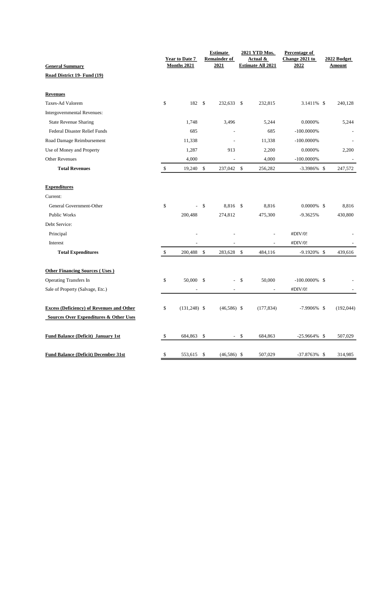|                                                   |              | <b>Year to Date 7</b> |              | <b>Estimate</b><br><b>Remainder of</b> |              | 2021 YTD Mos.<br><u>Actual &amp;</u> | <b>Percentage of</b><br>Change 2021 to | 2022 Budget              |
|---------------------------------------------------|--------------|-----------------------|--------------|----------------------------------------|--------------|--------------------------------------|----------------------------------------|--------------------------|
| <b>General Summary</b>                            |              | Months 2021           |              | 2021                                   |              | <b>Estimate All 2021</b>             | 2022                                   | <b>Amount</b>            |
| Road District 19- Fund (19)                       |              |                       |              |                                        |              |                                      |                                        |                          |
| <b>Revenues</b>                                   |              |                       |              |                                        |              |                                      |                                        |                          |
| Taxes-Ad Valorem                                  | \$           | 182 \$                |              | 232,633                                | \$           | 232,815                              | 3.1411% \$                             | 240,128                  |
| Intergovernmental Revenues:                       |              |                       |              |                                        |              |                                      |                                        |                          |
| <b>State Revenue Sharing</b>                      |              | 1,748                 |              | 3,496                                  |              | 5,244                                | 0.0000%                                | 5,244                    |
| <b>Federal Disaster Relief Funds</b>              |              | 685                   |              |                                        |              | 685                                  | $-100.0000\%$                          |                          |
| Road Damage Reimbursement                         |              | 11,338                |              | $\overline{a}$                         |              | 11,338                               | $-100.0000\%$                          |                          |
| Use of Money and Property                         |              | 1,287                 |              | 913                                    |              | 2,200                                | 0.0000%                                | 2,200                    |
| <b>Other Revenues</b>                             |              | 4,000                 |              | $\overline{\phantom{a}}$               |              | 4,000                                | $-100.0000\%$                          | $\overline{\phantom{a}}$ |
| <b>Total Revenues</b>                             | $\$$         | 19,240                | $\mathbb{S}$ | 237,042 \$                             |              | 256,282                              | $-3.3986\%$ \$                         | 247,572                  |
| <b>Expenditures</b>                               |              |                       |              |                                        |              |                                      |                                        |                          |
| Current:                                          |              |                       |              |                                        |              |                                      |                                        |                          |
| General Government-Other                          | \$           |                       | \$           | 8,816 \$                               |              | 8,816                                | $0.0000\%$ \$                          | 8,816                    |
| Public Works                                      |              | 200,488               |              | 274,812                                |              | 475,300                              | -9.3625%                               | 430,800                  |
| Debt Service:                                     |              |                       |              |                                        |              |                                      |                                        |                          |
| Principal                                         |              |                       |              |                                        |              |                                      | #DIV/0!                                |                          |
| Interest                                          |              |                       |              |                                        |              |                                      | #DIV/0!                                |                          |
| <b>Total Expenditures</b>                         | $\mathbb{S}$ | 200,488               | $\mathbb{S}$ | 283,628                                | $\mathbb{S}$ | 484,116                              | -9.1920% \$                            | 439,616                  |
| <b>Other Financing Sources (Uses)</b>             |              |                       |              |                                        |              |                                      |                                        |                          |
| <b>Operating Transfers In</b>                     | \$           | 50,000 \$             |              |                                        | \$           | 50,000                               | $-100.0000\%$ \$                       |                          |
| Sale of Property (Salvage, Etc.)                  |              |                       |              |                                        |              | ÷,                                   | #DIV/0!                                |                          |
|                                                   |              |                       |              |                                        |              |                                      |                                        |                          |
| <b>Excess (Deficiency) of Revenues and Other</b>  | \$           | $(131,248)$ \$        |              | $(46,586)$ \$                          |              | (177, 834)                           | $-7.9906\%$ \$                         | (192, 044)               |
| <b>Sources Over Expenditures &amp; Other Uses</b> |              |                       |              |                                        |              |                                      |                                        |                          |
| <b>Fund Balance (Deficit) January 1st</b>         | \$           | 684,863               | \$           | $\sim$                                 | \$           | 684,863                              | $-25.9664\%$ \$                        | 507,029                  |
|                                                   |              |                       |              |                                        |              |                                      |                                        |                          |
| <b>Fund Balance (Deficit) December 31st</b>       | \$           | 553,615               | \$           | $(46,586)$ \$                          |              | 507,029                              | $-37.8763\%$ \$                        | 314,985                  |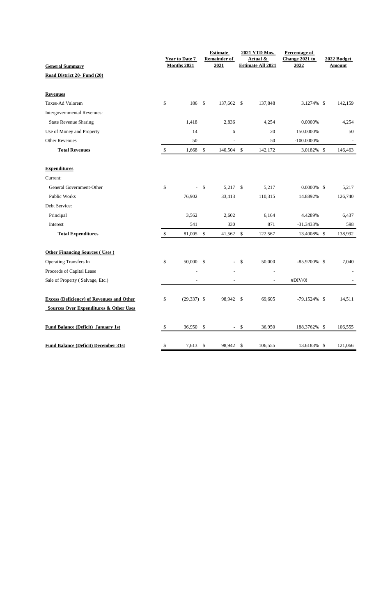| <b>General Summary</b>                                                                                |              | <b>Year to Date 7</b><br><b>Months 2021</b> |               | <b>Estimate</b><br><b>Remainder of</b><br>2021 |      | 2021 YTD Mos.<br>Actual &<br><b>Estimate All 2021</b> | Percentage of<br>Change 2021 to<br>2022 | 2022 Budget<br><b>Amount</b> |
|-------------------------------------------------------------------------------------------------------|--------------|---------------------------------------------|---------------|------------------------------------------------|------|-------------------------------------------------------|-----------------------------------------|------------------------------|
| Road District 20- Fund (20)                                                                           |              |                                             |               |                                                |      |                                                       |                                         |                              |
| <b>Revenues</b>                                                                                       |              |                                             |               |                                                |      |                                                       |                                         |                              |
| Taxes-Ad Valorem                                                                                      | \$           | 186 \$                                      |               | 137,662 \$                                     |      | 137,848                                               | 3.1274% \$                              | 142,159                      |
| Intergovernmental Revenues:                                                                           |              |                                             |               |                                                |      |                                                       |                                         |                              |
| <b>State Revenue Sharing</b>                                                                          |              | 1,418                                       |               | 2,836                                          |      | 4,254                                                 | 0.0000%                                 | 4,254                        |
| Use of Money and Property                                                                             |              | 14                                          |               | 6                                              |      | 20                                                    | 150.0000%                               | 50                           |
| <b>Other Revenues</b>                                                                                 |              | 50                                          |               |                                                |      | 50                                                    | $-100.0000\%$                           |                              |
| <b>Total Revenues</b>                                                                                 | $\mathbb{S}$ | 1,668                                       | $\mathbb{S}$  | 140,504 \$                                     |      | 142,172                                               | 3.0182% \$                              | 146,463                      |
| <b>Expenditures</b>                                                                                   |              |                                             |               |                                                |      |                                                       |                                         |                              |
| Current:                                                                                              |              |                                             |               |                                                |      |                                                       |                                         |                              |
| General Government-Other                                                                              | \$           | L.                                          | \$            | 5,217 \$                                       |      | 5,217                                                 | $0.0000\%$ \$                           | 5,217                        |
| Public Works                                                                                          |              | 76,902                                      |               | 33,413                                         |      | 110,315                                               | 14.8892%                                | 126,740                      |
| Debt Service:                                                                                         |              |                                             |               |                                                |      |                                                       |                                         |                              |
| Principal                                                                                             |              | 3,562                                       |               | 2,602                                          |      | 6,164                                                 | 4.4289%                                 | 6,437                        |
| Interest                                                                                              |              | 541                                         |               | 330                                            |      | 871                                                   | -31.3433%                               | 598                          |
| <b>Total Expenditures</b>                                                                             | $\mathbb{S}$ | 81,005                                      | $\mathcal{S}$ | 41,562                                         | $\$$ | 122,567                                               | 13.4008% \$                             | 138,992                      |
| <b>Other Financing Sources (Uses)</b>                                                                 |              |                                             |               |                                                |      |                                                       |                                         |                              |
| <b>Operating Transfers In</b>                                                                         | \$           | 50,000 \$                                   |               |                                                | \$   | 50,000                                                | $-85.9200\%$ \$                         | 7,040                        |
| Proceeds of Capital Lease                                                                             |              |                                             |               |                                                |      | J.                                                    |                                         |                              |
| Sale of Property (Salvage, Etc.)                                                                      |              |                                             |               |                                                |      |                                                       | #DIV/0!                                 |                              |
| <b>Excess (Deficiency) of Revenues and Other</b><br><b>Sources Over Expenditures &amp; Other Uses</b> | \$           | $(29, 337)$ \$                              |               | 98,942                                         | \$   | 69,605                                                | $-79.1524\%$ \$                         | 14,511                       |
| <b>Fund Balance (Deficit) January 1st</b>                                                             | \$           | 36,950 \$                                   |               | $\sim$                                         | \$   | 36,950                                                | 188.3762% \$                            | 106,555                      |
| <b>Fund Balance (Deficit) December 31st</b>                                                           | \$           | 7,613                                       | $\mathcal{S}$ | 98,942                                         | \$   | 106,555                                               | 13.6183% \$                             | 121,066                      |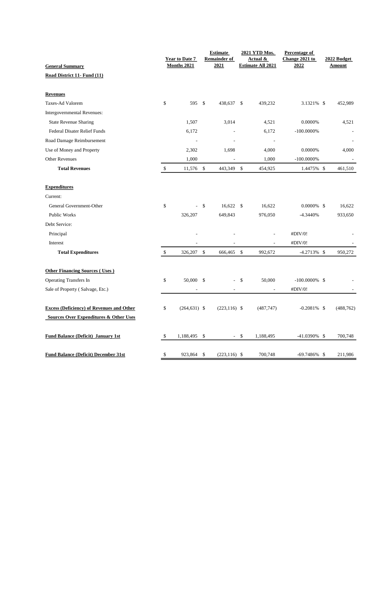|                                                       |              | <b>Year to Date 7</b><br>Months 2021 |              | <b>Estimate</b><br><b>Remainder of</b><br>2021 |              | 2021 YTD Mos.<br><u>Actual &amp;</u><br><b>Estimate All 2021</b> | <b>Percentage of</b><br>Change 2021 to<br>2022 | 2022 Budget<br><b>Amount</b> |
|-------------------------------------------------------|--------------|--------------------------------------|--------------|------------------------------------------------|--------------|------------------------------------------------------------------|------------------------------------------------|------------------------------|
| <b>General Summary</b><br>Road District 11- Fund (11) |              |                                      |              |                                                |              |                                                                  |                                                |                              |
|                                                       |              |                                      |              |                                                |              |                                                                  |                                                |                              |
| <b>Revenues</b>                                       |              |                                      |              |                                                |              |                                                                  |                                                |                              |
| Taxes-Ad Valorem                                      | \$           | 595 \$                               |              | 438,637 \$                                     |              | 439,232                                                          | 3.1321% \$                                     | 452,989                      |
| Intergovernmental Revenues:                           |              |                                      |              |                                                |              |                                                                  |                                                |                              |
| <b>State Revenue Sharing</b>                          |              | 1,507                                |              | 3,014                                          |              | 4,521                                                            | 0.0000%                                        | 4,521                        |
| <b>Federal Disater Relief Funds</b>                   |              | 6,172                                |              |                                                |              | 6,172                                                            | $-100.0000\%$                                  |                              |
| Road Damage Reimbursement                             |              | $\overline{a}$                       |              |                                                |              | J.                                                               |                                                |                              |
| Use of Money and Property                             |              | 2,302                                |              | 1,698                                          |              | 4,000                                                            | 0.0000%                                        | 4,000                        |
| <b>Other Revenues</b>                                 |              | 1,000                                |              | ÷,                                             |              | 1,000                                                            | $-100.0000\%$                                  | $\overline{\phantom{a}}$     |
| <b>Total Revenues</b>                                 | $\$$         | 11,576 \$                            |              | 443,349                                        | $\mathbb{S}$ | 454,925                                                          | 1.4475% \$                                     | 461,510                      |
| <b>Expenditures</b>                                   |              |                                      |              |                                                |              |                                                                  |                                                |                              |
| Current:                                              |              |                                      |              |                                                |              |                                                                  |                                                |                              |
| General Government-Other                              | \$           |                                      | \$           | $16,622$ \$                                    |              | 16,622                                                           | $0.0000\%$ \$                                  | 16,622                       |
| Public Works                                          |              | 326,207                              |              | 649,843                                        |              | 976,050                                                          | -4.3440%                                       | 933,650                      |
| Debt Service:                                         |              |                                      |              |                                                |              |                                                                  |                                                |                              |
| Principal                                             |              |                                      |              |                                                |              |                                                                  | #DIV/0!                                        |                              |
| Interest                                              |              |                                      |              |                                                |              |                                                                  | #DIV/0!                                        |                              |
| <b>Total Expenditures</b>                             | $\mathbb{S}$ | 326,207                              | $\mathbb{S}$ | 666,465                                        | \$           | 992,672                                                          | $-4.2713\%$ \$                                 | 950,272                      |
|                                                       |              |                                      |              |                                                |              |                                                                  |                                                |                              |
| <b>Other Financing Sources (Uses)</b>                 |              |                                      |              |                                                |              |                                                                  |                                                |                              |
| <b>Operating Transfers In</b>                         | \$           | 50,000 \$                            |              |                                                | \$           | 50,000                                                           | $-100.0000\%$ \$                               |                              |
| Sale of Property (Salvage, Etc.)                      |              |                                      |              |                                                |              | ÷,                                                               | #DIV/0!                                        |                              |
| <b>Excess (Deficiency) of Revenues and Other</b>      | \$           | $(264, 631)$ \$                      |              | $(223, 116)$ \$                                |              | (487, 747)                                                       | $-0.2081\%$ \$                                 | (488, 762)                   |
| <b>Sources Over Expenditures &amp; Other Uses</b>     |              |                                      |              |                                                |              |                                                                  |                                                |                              |
| <b>Fund Balance (Deficit) January 1st</b>             | \$           | 1,188,495                            | \$           | $\sim$                                         | \$           | 1,188,495                                                        | $-41.0390\%$ \$                                | 700,748                      |
| <b>Fund Balance (Deficit) December 31st</b>           | \$           | 923,864 \$                           |              | $(223, 116)$ \$                                |              | 700,748                                                          | $-69.7486\%$ \$                                | 211,986                      |
|                                                       |              |                                      |              |                                                |              |                                                                  |                                                |                              |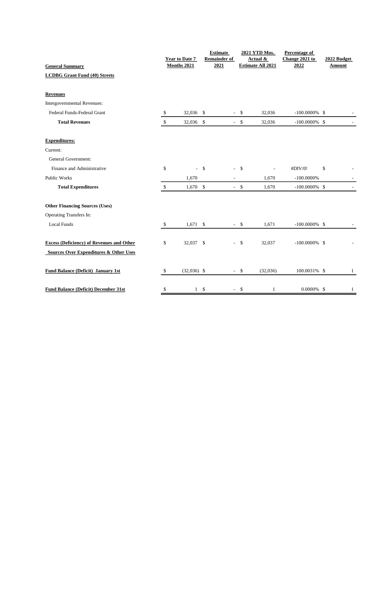| <b>General Summary</b>                           |              | <b>Year to Date 7</b><br>Months 2021 | <b>Estimate</b><br><b>Remainder of</b><br>2021 |               | 2021 YTD Mos.<br>Actual &<br><b>Estimate All 2021</b> | Percentage of<br>Change 2021 to<br>2022 | 2022 Budget<br><b>Amount</b> |
|--------------------------------------------------|--------------|--------------------------------------|------------------------------------------------|---------------|-------------------------------------------------------|-----------------------------------------|------------------------------|
| <b>LCDBG Grant Fund (40) Streets</b>             |              |                                      |                                                |               |                                                       |                                         |                              |
| <b>Revenues</b>                                  |              |                                      |                                                |               |                                                       |                                         |                              |
| Intergovernmental Revenues:                      |              |                                      |                                                |               |                                                       |                                         |                              |
| Federal Funds-Federal Grant                      | \$           | 32,036 \$                            |                                                | $-$ \$        | 32,036                                                | $-100.0000\%$ \$                        |                              |
| <b>Total Revenues</b>                            | $\mathbb{S}$ | 32,036 \$                            |                                                | $-$ \$        | 32,036                                                | $-100.0000\%$ \$                        |                              |
| <b>Expenditures:</b>                             |              |                                      |                                                |               |                                                       |                                         |                              |
| Current:                                         |              |                                      |                                                |               |                                                       |                                         |                              |
| General Government:                              |              |                                      |                                                |               |                                                       |                                         |                              |
| Finance and Administrative                       | \$           | $-5$                                 | $\overline{\phantom{a}}$                       | $\mathcal{S}$ |                                                       | #DIV/0!                                 | \$                           |
| <b>Public Works</b>                              |              | 1,670                                | $\overline{\phantom{a}}$                       |               | 1,670                                                 | $-100.0000\%$                           |                              |
| <b>Total Expenditures</b>                        | $\mathbb{S}$ | $1,670$ \$                           |                                                | $-$ \$        | 1,670                                                 | $-100.0000\%$ \$                        |                              |
| <b>Other Financing Sources (Uses)</b>            |              |                                      |                                                |               |                                                       |                                         |                              |
| Operating Transfers In:                          |              |                                      |                                                |               |                                                       |                                         |                              |
| <b>Local Funds</b>                               | \$           | $1,671$ \$                           |                                                | $-$ \$        | 1,671                                                 | $-100.0000\%$ \$                        |                              |
| <b>Excess (Deficiency) of Revenues and Other</b> | \$           | 32,037 \$                            | $\overline{\phantom{0}}$                       | - \$          | 32,037                                                | $-100.0000\%$ \$                        |                              |
| Sources Over Expenditures & Other Uses           |              |                                      |                                                |               |                                                       |                                         |                              |
| <b>Fund Balance (Deficit) January 1st</b>        | \$           | $(32,036)$ \$                        | $\overline{\phantom{a}}$                       | \$            | (32,036)                                              | 100.0031% \$                            | 1                            |
| <b>Fund Balance (Deficit) December 31st</b>      | \$           | $1 \quad$                            |                                                | $-$ \$        | $\mathbf{1}$                                          | $0.0000\%$ \$                           | $\mathbf{1}$                 |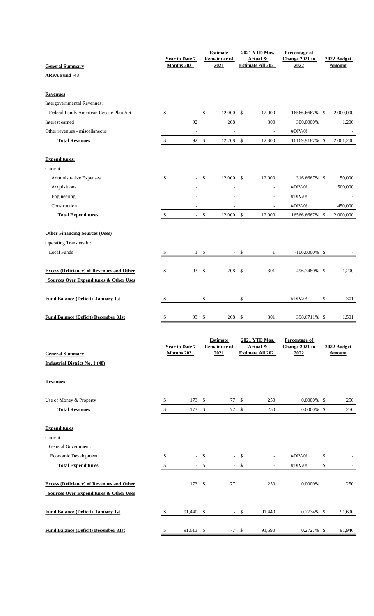|                                                   |               |                               |               | <b>Estimate</b>                        |        | 2021 YTD Mos.                        | <b>Percentage of</b>            |                          |
|---------------------------------------------------|---------------|-------------------------------|---------------|----------------------------------------|--------|--------------------------------------|---------------------------------|--------------------------|
| <b>General Summary</b>                            |               | Year to Date 7<br>Months 2021 |               | <b>Remainder of</b><br>2021            |        | Actual &<br><b>Estimate All 2021</b> | Change 2021 to<br>2022          | 2022 Budget<br>Amount    |
| <b>ARPA Fund -43</b>                              |               |                               |               |                                        |        |                                      |                                 |                          |
|                                                   |               |                               |               |                                        |        |                                      |                                 |                          |
| <b>Revenues</b>                                   |               |                               |               |                                        |        |                                      |                                 |                          |
| Intergovernmental Revenues:                       |               |                               |               |                                        |        |                                      |                                 |                          |
| Federal Funds-American Rescue Plan Act            | \$            | ÷,                            | \$            | 12,000 \$                              |        | 12,000                               | 16566.6667% \$                  | 2,000,000                |
| Interest earned                                   |               | 92                            |               | 208                                    |        | 300                                  | 300.0000%                       | 1,200                    |
| Other revenues - miscellaneous                    |               | $\overline{\phantom{a}}$      |               | $\overline{\phantom{a}}$               |        | $\overline{\phantom{a}}$             | #DIV/0!                         | $\overline{\phantom{a}}$ |
| <b>Total Revenues</b>                             | \$            | 92 \$                         |               | $12,208$ \$                            |        | 12,300                               | 16169.9187% \$                  | 2,001,200                |
| <b>Expenditures:</b>                              |               |                               |               |                                        |        |                                      |                                 |                          |
| Current:                                          |               |                               |               |                                        |        |                                      |                                 |                          |
| Administrative Expenses                           | \$            | ÷.                            | \$            | 12,000 \$                              |        | 12,000                               | 316.6667% \$                    | 50,000                   |
| Acquisitions                                      |               |                               |               |                                        |        | L,                                   | #DIV/0!                         | 500,000                  |
|                                                   |               |                               |               |                                        |        | Ĭ.                                   | #DIV/0!                         |                          |
| Engineering                                       |               |                               |               |                                        |        |                                      |                                 |                          |
| Construction                                      |               |                               |               |                                        |        |                                      | #DIV/0!                         | 1,450,000                |
| <b>Total Expenditures</b>                         | $\mathcal{L}$ |                               | $-$ \$        | 12,000 \$                              |        | 12,000                               | 16566.6667% \$                  | 2,000,000                |
| <b>Other Financing Sources (Uses)</b>             |               |                               |               |                                        |        |                                      |                                 |                          |
| Operating Transfers In:                           |               |                               |               |                                        |        |                                      |                                 |                          |
| Local Funds                                       | \$            |                               | $1 \quad$ \$  |                                        | - \$   | 1                                    | $-100.0000\%$ \$                |                          |
| <b>Excess (Deficiency) of Revenues and Other</b>  | \$            | 93                            | $\mathcal{S}$ | 208                                    | - \$   | 301                                  | -496.7480% \$                   | 1,200                    |
| <b>Sources Over Expenditures &amp; Other Uses</b> |               |                               |               |                                        |        |                                      |                                 |                          |
|                                                   |               |                               |               |                                        |        |                                      |                                 |                          |
| <b>Fund Balance (Deficit) January 1st</b>         | \$            |                               | $-$ \$        |                                        | $-$ \$ |                                      | #DIV/0!                         | \$<br>301                |
| <b>Fund Balance (Deficit) December 31st</b>       | \$            | 93 \$                         |               | 208 \$                                 |        | 301                                  | 398.6711% \$                    | 1,501                    |
|                                                   |               |                               |               |                                        |        |                                      |                                 |                          |
|                                                   |               | Year to Date 7                |               | <b>Estimate</b><br><b>Remainder of</b> |        | 2021 YTD Mos.<br><b>Actual &amp;</b> | Percentage of<br>Change 2021 to | 2022 Budget              |
| <b>General Summary</b>                            |               | Months 2021                   |               | 2021                                   |        | <b>Estimate All 2021</b>             | 2022                            | <b>Amount</b>            |
| <b>Industrial District No. 1 (48)</b>             |               |                               |               |                                        |        |                                      |                                 |                          |
| <b>Revenues</b>                                   |               |                               |               |                                        |        |                                      |                                 |                          |
|                                                   |               |                               |               |                                        |        |                                      |                                 |                          |
| Use of Money & Property                           | \$            | 173S                          |               | 77                                     | \$     | 250                                  | $0.0000\%$ \$                   | 250                      |
| <b>Total Revenues</b>                             | $\$\,$        | 173 \$                        |               | 77 \$                                  |        | 250                                  | $0.0000\%$ \$                   | 250                      |
| <b>Expenditures</b>                               |               |                               |               |                                        |        |                                      |                                 |                          |
| Current:                                          |               |                               |               |                                        |        |                                      |                                 |                          |
| General Government:                               |               |                               |               |                                        |        |                                      |                                 |                          |
| Economic Development                              | \$            |                               | $-$ \$        |                                        | $-$ \$ |                                      | #DIV/0!                         | \$                       |
| <b>Total Expenditures</b>                         | \$            |                               | $-$ \$        |                                        | $-$ \$ | $\overline{a}$                       | #DIV/0!                         | \$                       |
|                                                   |               |                               |               |                                        |        |                                      |                                 |                          |
| <b>Excess (Deficiency) of Revenues and Other</b>  |               | 173 \$                        |               | 77                                     |        | 250                                  | 0.0000%                         | 250                      |
| <b>Sources Over Expenditures &amp; Other Uses</b> |               |                               |               |                                        |        |                                      |                                 |                          |
| <b>Fund Balance (Deficit) January 1st</b>         | \$            | 91,440 \$                     |               |                                        | - \$   | 91,440                               | $0.2734\%$ \$                   | 91,690                   |
| <b>Fund Balance (Deficit) December 31st</b>       |               |                               |               | 77S                                    |        |                                      |                                 |                          |
|                                                   | \$            | 91,613 \$                     |               |                                        |        | 91,690                               | 0.2727% \$                      | 91,940                   |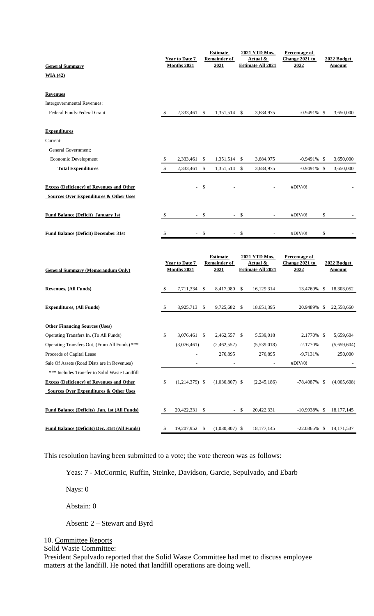| <b>General Summary</b>                               |    | <b>Year to Date 7</b><br>Months 2021 |        | <b>Estimate</b><br><b>Remainder of</b><br>2021 |              | 2021 YTD Mos.<br>Actual &<br><b>Estimate All 2021</b> | Percentage of<br>Change 2021 to<br>2022 | 2022 Budget<br>Amount |
|------------------------------------------------------|----|--------------------------------------|--------|------------------------------------------------|--------------|-------------------------------------------------------|-----------------------------------------|-----------------------|
|                                                      |    |                                      |        |                                                |              |                                                       |                                         |                       |
| WIA $(42)$                                           |    |                                      |        |                                                |              |                                                       |                                         |                       |
| <b>Revenues</b>                                      |    |                                      |        |                                                |              |                                                       |                                         |                       |
| Intergovernmental Revenues:                          |    |                                      |        |                                                |              |                                                       |                                         |                       |
| Federal Funds-Federal Grant                          | S. | 2,333,461                            | \$     | 1,351,514 \$                                   |              | 3,684,975                                             | $-0.9491\%$ \$                          | 3.650.000             |
| <b>Expenditures</b>                                  |    |                                      |        |                                                |              |                                                       |                                         |                       |
| Current:                                             |    |                                      |        |                                                |              |                                                       |                                         |                       |
| General Government:                                  |    |                                      |        |                                                |              |                                                       |                                         |                       |
| Economic Development                                 | \$ | 2,333,461                            | \$     | 1,351,514                                      | \$           | 3,684,975                                             | $-0.9491\%$ \$                          | 3,650,000             |
| <b>Total Expenditures</b>                            | \$ | 2,333,461                            | \$     | 1,351,514                                      | $\mathbb{S}$ | 3,684,975                                             | $-0.9491\%$ \$                          | 3,650,000             |
|                                                      |    |                                      |        |                                                |              |                                                       |                                         |                       |
| <b>Excess (Deficiency) of Revenues and Other</b>     |    | L.                                   | - \$   |                                                |              |                                                       | #DIV/0!                                 |                       |
| <b>Sources Over Expenditures &amp; Other Uses</b>    |    |                                      |        |                                                |              |                                                       |                                         |                       |
| <b>Fund Balance (Deficit) January 1st</b>            | \$ |                                      | $-$ \$ |                                                | - \$         |                                                       | #DIV/0!                                 | \$                    |
| <b>Fund Balance (Deficit) December 31st</b>          | \$ | $\sim$                               | \$     | $\sim$                                         | \$           |                                                       | #DIV/0!                                 | \$                    |
|                                                      |    |                                      |        |                                                |              |                                                       |                                         |                       |
|                                                      |    |                                      |        |                                                |              |                                                       |                                         |                       |
|                                                      |    |                                      |        |                                                |              |                                                       |                                         |                       |
|                                                      |    |                                      |        | <b>Estimate</b>                                |              | 2021 YTD Mos.                                         | Percentage of                           |                       |
| <b>General Summary (Memorandum Only)</b>             |    | <b>Year to Date 7</b><br>Months 2021 |        | <b>Remainder of</b><br>2021                    |              | Actual &<br><b>Estimate All 2021</b>                  | Change 2021 to<br>2022                  | 2022 Budget<br>Amount |
| <b>Revenues, (All Funds)</b>                         | \$ | 7,711,334                            | \$     | 8,417,980                                      | \$           | 16,129,314                                            | 13.4769% \$                             | 18,303,052            |
|                                                      |    |                                      |        |                                                |              |                                                       |                                         |                       |
| <b>Expenditures, (All Funds)</b>                     | \$ | 8,925,713                            | \$     | 9,725,682                                      | \$           | 18,651,395                                            | 20.9489% \$                             | 22,558,660            |
| <b>Other Financing Sources (Uses)</b>                |    |                                      |        |                                                |              |                                                       |                                         |                       |
| Operating Transfers In, (To All Funds)               | \$ | 3,076,461 \$                         |        | 2,462,557 \$                                   |              | 5,539,018                                             | 2.1770% \$                              | 5,659,604             |
| Operating Transfers Out, (From All Funds) ***        |    | (3,076,461)                          |        | (2,462,557)                                    |              | (5,539,018)                                           | $-2.1770%$                              | (5,659,604)           |
| Proceeds of Capital Lease                            |    |                                      |        | 276,895                                        |              | 276,895                                               | $-9.7131%$                              | 250,000               |
| Sale Of Assets (Road Dists are in Revenues)          |    |                                      |        |                                                |              |                                                       | #DIV/0!                                 |                       |
| *** Includes Transfer to Solid Waste Landfill        |    |                                      |        |                                                |              |                                                       |                                         |                       |
| <b>Excess (Deficiency) of Revenues and Other</b>     | \$ | $(1,214,379)$ \$                     |        | $(1,030,807)$ \$                               |              | (2,245,186)                                           | $-78.4087\%$ \$                         | (4,005,608)           |
| <b>Sources Over Expenditures &amp; Other Uses</b>    |    |                                      |        |                                                |              |                                                       |                                         |                       |
| <b>Fund Balance (Deficits) Jan. 1st (All Funds)</b>  | \$ | 20,422,331                           | \$     | $\sim$                                         | \$           | 20,422,331                                            | $-10.9938\%$ \$                         | 18, 177, 145          |
| <b>Fund Balance (Deficits) Dec. 31st (All Funds)</b> | \$ | 19,207,952                           | \$     | $(1,030,807)$ \$                               |              | 18,177,145                                            | $-22.0365\%$ \$                         | 14, 171, 537          |

This resolution having been submitted to a vote; the vote thereon was as follows:

Yeas: 7 - McCormic, Ruffin, Steinke, Davidson, Garcie, Sepulvado, and Ebarb

Nays: 0

Abstain: 0

Absent: 2 – Stewart and Byrd

10. Committee Reports

Solid Waste Committee:

President Sepulvado reported that the Solid Waste Committee had met to discuss employee matters at the landfill. He noted that landfill operations are doing well.